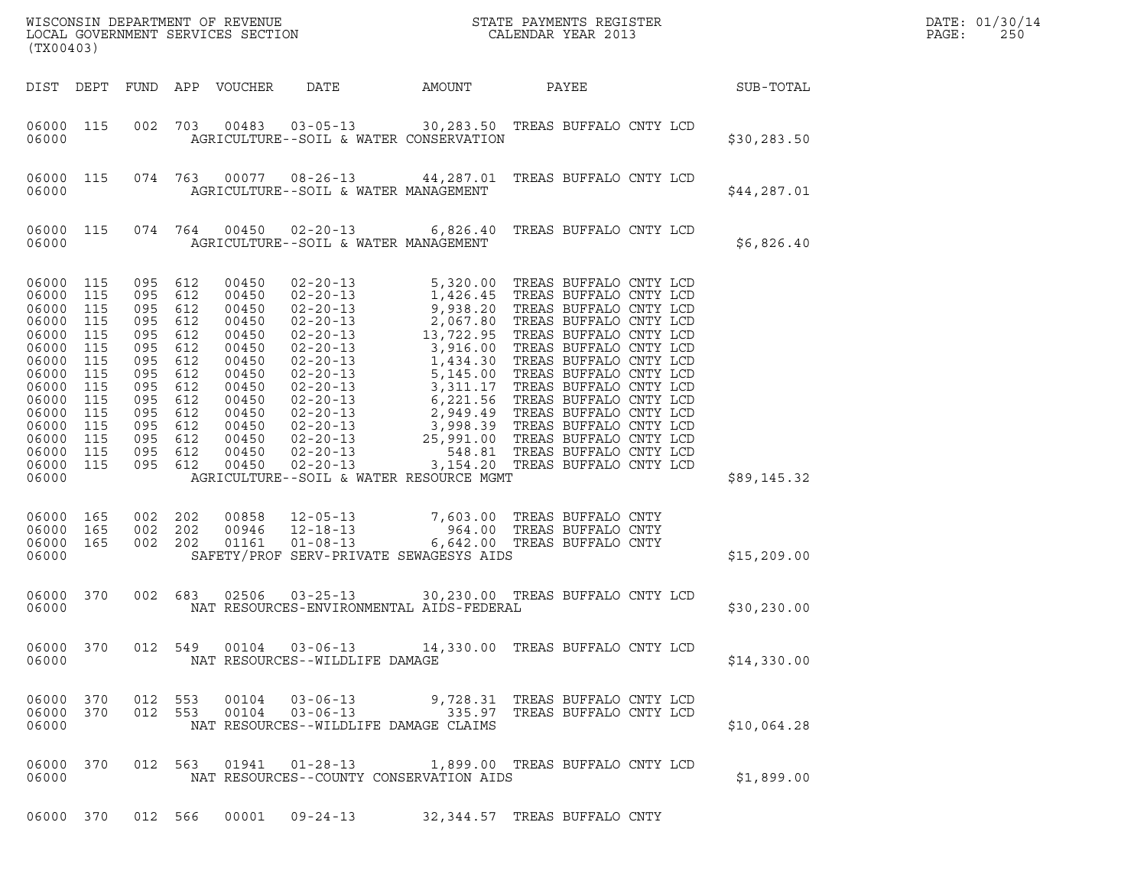| (TX00403)                                                                                                                                                                                                                     |            |                                                                                                                                                           |                                                                                                                                     |                                                                           |                                          |                                                                                                                            |             | DATE: 01/30/14<br>PAGE:<br>250 |
|-------------------------------------------------------------------------------------------------------------------------------------------------------------------------------------------------------------------------------|------------|-----------------------------------------------------------------------------------------------------------------------------------------------------------|-------------------------------------------------------------------------------------------------------------------------------------|---------------------------------------------------------------------------|------------------------------------------|----------------------------------------------------------------------------------------------------------------------------|-------------|--------------------------------|
| DIST DEPT                                                                                                                                                                                                                     |            |                                                                                                                                                           | FUND APP VOUCHER                                                                                                                    | DATE                                                                      | AMOUNT                                   | PAYEE                                                                                                                      | SUB-TOTAL   |                                |
| 06000 115<br>06000                                                                                                                                                                                                            | 002        |                                                                                                                                                           |                                                                                                                                     |                                                                           | AGRICULTURE--SOIL & WATER CONSERVATION   | 703  00483  03-05-13  30,283.50  TREAS BUFFALO CNTY LCD                                                                    | \$30,283.50 |                                |
| 06000 115<br>06000                                                                                                                                                                                                            |            |                                                                                                                                                           |                                                                                                                                     | AGRICULTURE--SOIL & WATER MANAGEMENT                                      |                                          | 074 763 00077 08-26-13 44,287.01 TREAS BUFFALO CNTY LCD                                                                    | \$44,287.01 |                                |
| 06000 115<br>06000                                                                                                                                                                                                            |            | 074 764                                                                                                                                                   |                                                                                                                                     | AGRICULTURE--SOIL & WATER MANAGEMENT                                      |                                          | 00450  02-20-13  6,826.40 TREAS BUFFALO CNTY LCD                                                                           | \$6,826.40  |                                |
| 06000 115<br>06000<br>115<br>06000<br>115<br>06000<br>115<br>06000 115<br>06000<br>115<br>06000 115<br>06000<br>115<br>06000 115<br>06000<br>115<br>06000 115<br>06000<br>115<br>06000 115<br>06000 115<br>06000 115<br>06000 | 095<br>095 | 095 612<br>095 612<br>095 612<br>095 612<br>095 612<br>612<br>095 612<br>095 612<br>095 612<br>612<br>095 612<br>095 612<br>095 612<br>095 612<br>095 612 | 00450<br>00450<br>00450<br>00450<br>00450<br>00450<br>00450<br>00450<br>00450<br>00450<br>00450<br>00450<br>00450<br>00450<br>00450 |                                                                           | AGRICULTURE--SOIL & WATER RESOURCE MGMT  | 02-20-13 5,320.00 TREAS BUFFALO CNTY LCD                                                                                   | \$89,145.32 |                                |
| 06000 165<br>06000<br>165<br>06000 165<br>06000                                                                                                                                                                               | 002        | 002 202<br>202<br>002 202                                                                                                                                 | 00858<br>00946                                                                                                                      |                                                                           | SAFETY/PROF SERV-PRIVATE SEWAGESYS AIDS  | 12-05-13 7,603.00 TREAS BUFFALO CNTY<br>12-18-13 964.00 TREAS BUFFALO CNTY<br>01161  01-08-13  6,642.00 TREAS BUFFALO CNTY | \$15,209.00 |                                |
| 06000<br>370<br>06000                                                                                                                                                                                                         |            | 002 683                                                                                                                                                   |                                                                                                                                     |                                                                           | NAT RESOURCES-ENVIRONMENTAL AIDS-FEDERAL | 02506  03-25-13  30,230.00 TREAS BUFFALO CNTY LCD                                                                          | \$30,230.00 |                                |
| 06000 370<br>06000                                                                                                                                                                                                            |            | 012 549                                                                                                                                                   |                                                                                                                                     | NAT RESOURCES--WILDLIFE DAMAGE                                            |                                          | 00104  03-06-13  14,330.00  TREAS BUFFALO CNTY LCD                                                                         | \$14,330.00 |                                |
| 06000 370<br>06000 370<br>06000                                                                                                                                                                                               |            | 012 553<br>012 553                                                                                                                                        | 00104<br>00104                                                                                                                      | $03 - 06 - 13$<br>$03 - 06 - 13$<br>NAT RESOURCES--WILDLIFE DAMAGE CLAIMS |                                          | 9,728.31 TREAS BUFFALO CNTY LCD<br>335.97 TREAS BUFFALO CNTY LCD                                                           | \$10,064.28 |                                |
| 06000 370<br>06000                                                                                                                                                                                                            |            | 012 563                                                                                                                                                   |                                                                                                                                     |                                                                           | NAT RESOURCES--COUNTY CONSERVATION AIDS  | 01941  01-28-13  1,899.00  TREAS BUFFALO CNTY LCD                                                                          | \$1,899.00  |                                |
|                                                                                                                                                                                                                               |            |                                                                                                                                                           |                                                                                                                                     |                                                                           |                                          | 06000 370 012 566 00001 09-24-13 32,344.57 TREAS BUFFALO CNTY                                                              |             |                                |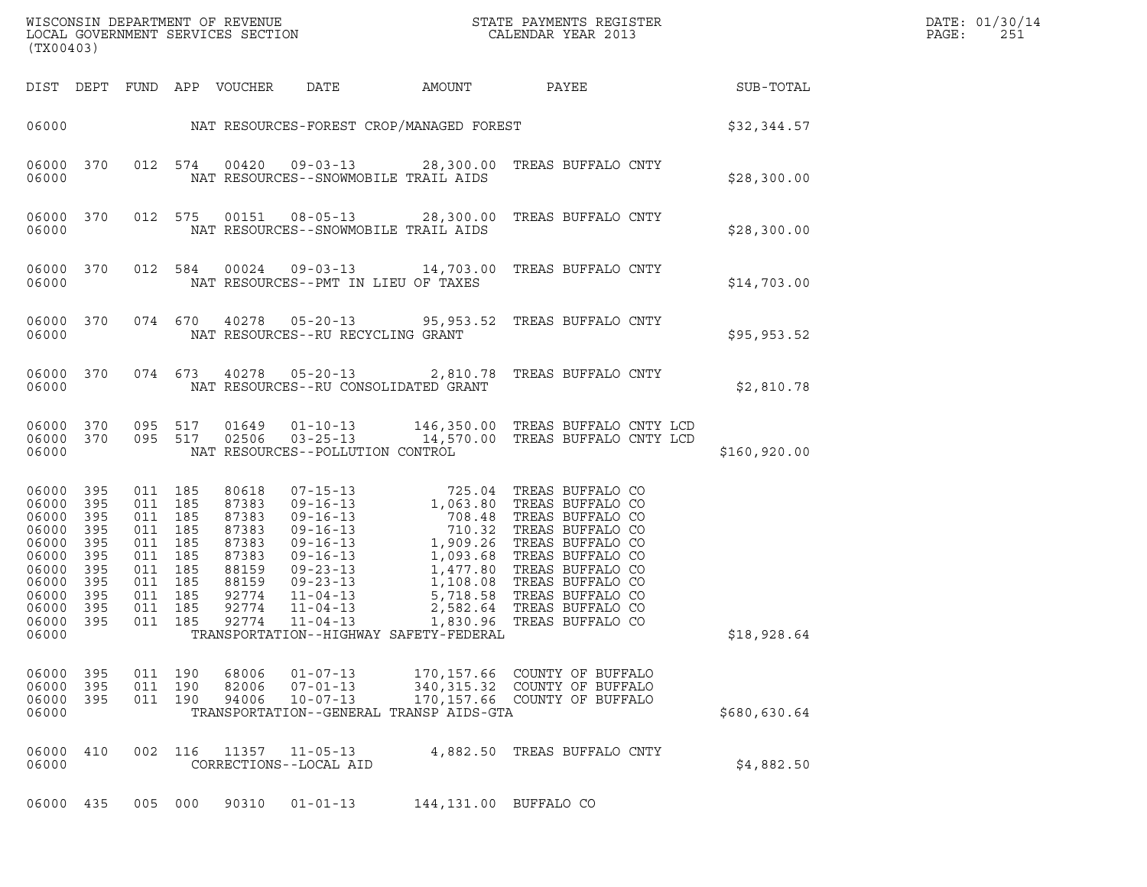| (TX00403)                                                                                                        |                                                             |                                                                                                           |                    |                                                                                                 |                                                                                   |                       | $\tt WISCONSIM DEPARTMENT OF REVENUE$ $\tt WISCONMIN SERS THE RAYMENT S REGISTERLOCAL GOVERNMENT SERVICES SECTION CALENDAR YEAR 2013$                                                                                                                                                                                     |                  | DATE: 01/30/14<br>PAGE:<br>251 |
|------------------------------------------------------------------------------------------------------------------|-------------------------------------------------------------|-----------------------------------------------------------------------------------------------------------|--------------------|-------------------------------------------------------------------------------------------------|-----------------------------------------------------------------------------------|-----------------------|---------------------------------------------------------------------------------------------------------------------------------------------------------------------------------------------------------------------------------------------------------------------------------------------------------------------------|------------------|--------------------------------|
|                                                                                                                  |                                                             |                                                                                                           |                    | DIST DEPT FUND APP VOUCHER                                                                      | DATE                                                                              | AMOUNT                | PAYEE                                                                                                                                                                                                                                                                                                                     | <b>SUB-TOTAL</b> |                                |
| 06000                                                                                                            |                                                             |                                                                                                           |                    |                                                                                                 |                                                                                   |                       | NAT RESOURCES-FOREST CROP/MANAGED FOREST                                                                                                                                                                                                                                                                                  | \$32,344.57      |                                |
| 06000 370<br>06000                                                                                               |                                                             |                                                                                                           | 012 574            | 00420                                                                                           | NAT RESOURCES--SNOWMOBILE TRAIL AIDS                                              |                       |                                                                                                                                                                                                                                                                                                                           | \$28,300.00      |                                |
| 06000 370<br>06000                                                                                               |                                                             |                                                                                                           | 012 575            |                                                                                                 | NAT RESOURCES--SNOWMOBILE TRAIL AIDS                                              |                       | 00151  08-05-13  28,300.00  TREAS BUFFALO CNTY                                                                                                                                                                                                                                                                            | \$28,300.00      |                                |
| 06000 370<br>06000                                                                                               |                                                             |                                                                                                           | 012 584            | 00024                                                                                           | NAT RESOURCES--PMT IN LIEU OF TAXES                                               |                       | 09-03-13 14,703.00 TREAS BUFFALO CNTY                                                                                                                                                                                                                                                                                     | \$14,703.00      |                                |
| 06000 370<br>06000                                                                                               |                                                             |                                                                                                           | 074 670            | 40278                                                                                           | NAT RESOURCES--RU RECYCLING GRANT                                                 |                       | 05-20-13 95,953.52 TREAS BUFFALO CNTY                                                                                                                                                                                                                                                                                     | \$95,953.52      |                                |
| 06000 370<br>06000                                                                                               |                                                             |                                                                                                           | 074 673            | 40278                                                                                           | $05 - 20 - 13$<br>NAT RESOURCES--RU CONSOLIDATED GRANT                            |                       | 2,810.78 TREAS BUFFALO CNTY                                                                                                                                                                                                                                                                                               | \$2,810.78       |                                |
| 06000 370<br>06000 370<br>06000                                                                                  |                                                             |                                                                                                           | 095 517<br>095 517 | 01649<br>02506                                                                                  | $03 - 25 - 13$<br>NAT RESOURCES--POLLUTION CONTROL                                |                       | 01-10-13 146,350.00 TREAS BUFFALO CNTY LCD<br>14,570.00 TREAS BUFFALO CNTY LCD                                                                                                                                                                                                                                            | \$160,920.00     |                                |
| 06000 395<br>06000<br>06000<br>06000<br>06000<br>06000<br>06000<br>06000<br>06000<br>06000<br>06000 395<br>06000 | 395<br>395<br>395<br>395<br>395<br>395<br>395<br>395<br>395 | 011 185<br>011<br>011 185<br>011<br>011 185<br>011<br>011 185<br>011 185<br>011 185<br>011 185<br>011 185 | 185<br>185<br>185  | 80618<br>87383<br>87383<br>87383<br>87383<br>87383<br>88159<br>88159<br>92774<br>92774<br>92774 | $11 - 04 - 13$<br>TRANSPORTATION--HIGHWAY SAFETY-FEDERAL                          |                       | 07-15-13 725.04 TREAS BUFFALO CO<br>07-15-13<br>09-16-13<br>09-16-13<br>09-16-13<br>7063.80 TREAS BUFFALO CO<br>09-16-13<br>710.32 TREAS BUFFALO CO<br>09-16-13<br>1, 093.68 TREAS BUFFALO CO<br>09-23-13<br>1, 093.68 TREAS BUFFALO CO<br>09-23-13<br>1, 108.08 TREAS BUFFALO CO<br>11-04-1<br>1,830.96 TREAS BUFFALO CO | \$18,928.64      |                                |
| 06000 395<br>06000 395<br>06000 395<br>06000                                                                     |                                                             | 011 190                                                                                                   | 011 190<br>011 190 | 82006<br>94006                                                                                  | 68006 01-07-13<br>07-01-13<br>10-07-13<br>TRANSPORTATION--GENERAL TRANSP AIDS-GTA |                       | 170,157.66 COUNTY OF BUFFALO<br>340, 315.32 COUNTY OF BUFFALO<br>170,157.66 COUNTY OF BUFFALO                                                                                                                                                                                                                             | \$680,630.64     |                                |
| 06000 410<br>06000                                                                                               |                                                             |                                                                                                           |                    |                                                                                                 | 002 116 11357 11-05-13<br>CORRECTIONS--LOCAL AID                                  |                       | 4,882.50 TREAS BUFFALO CNTY                                                                                                                                                                                                                                                                                               | \$4,882.50       |                                |
| 06000 435                                                                                                        |                                                             |                                                                                                           | 005 000            | 90310                                                                                           | $01 - 01 - 13$                                                                    | 144,131.00 BUFFALO CO |                                                                                                                                                                                                                                                                                                                           |                  |                                |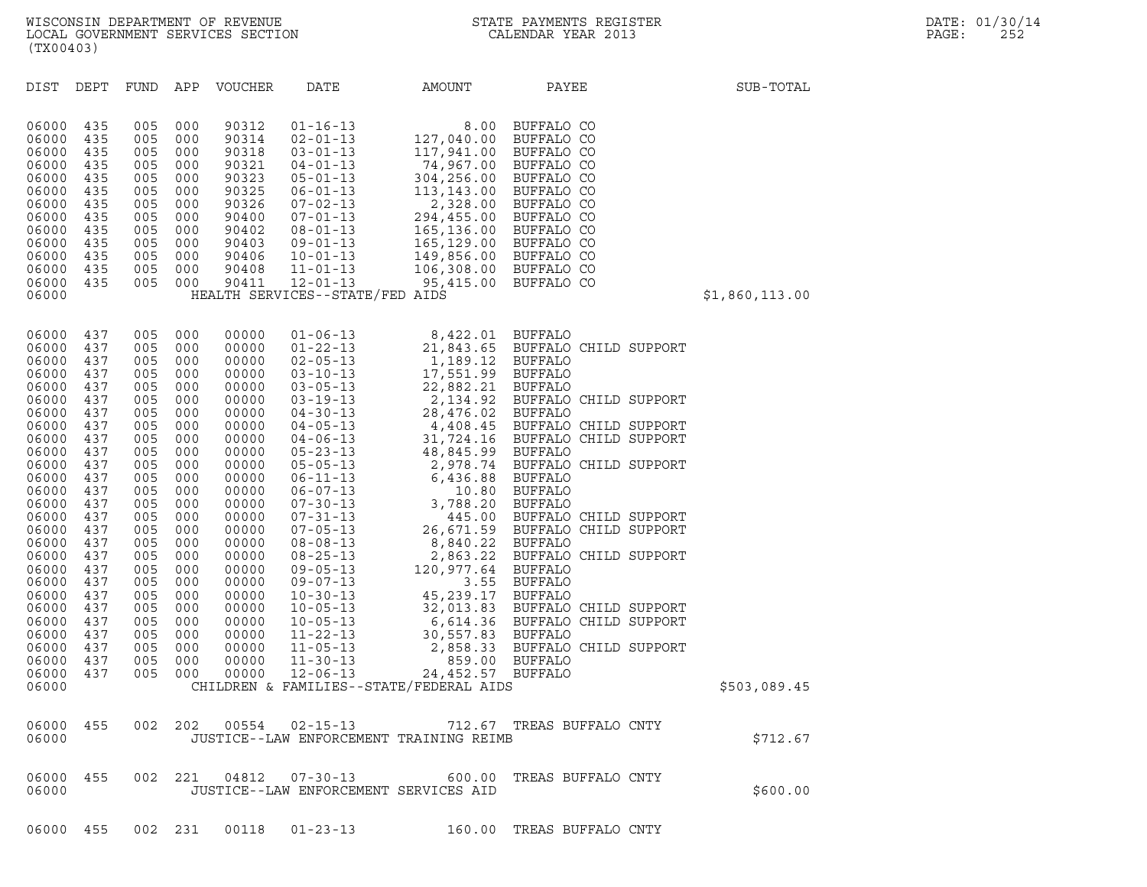| (TX00403)                                                                                                                                                                                                                                                |                                                                                                                                                                                           |                                                                                                                                                                                           |                                                                                                                                                                                           |                                                                                                                                                                                                                                                 |                                                                                                                                                                                                                                                                                                                                                                                                                                                                                                    |                                                                                                                                                                                              |                                                                                                                                                    |                |
|----------------------------------------------------------------------------------------------------------------------------------------------------------------------------------------------------------------------------------------------------------|-------------------------------------------------------------------------------------------------------------------------------------------------------------------------------------------|-------------------------------------------------------------------------------------------------------------------------------------------------------------------------------------------|-------------------------------------------------------------------------------------------------------------------------------------------------------------------------------------------|-------------------------------------------------------------------------------------------------------------------------------------------------------------------------------------------------------------------------------------------------|----------------------------------------------------------------------------------------------------------------------------------------------------------------------------------------------------------------------------------------------------------------------------------------------------------------------------------------------------------------------------------------------------------------------------------------------------------------------------------------------------|----------------------------------------------------------------------------------------------------------------------------------------------------------------------------------------------|----------------------------------------------------------------------------------------------------------------------------------------------------|----------------|
| DIST                                                                                                                                                                                                                                                     | DEPT                                                                                                                                                                                      | FUND                                                                                                                                                                                      | APP                                                                                                                                                                                       | <b>VOUCHER</b>                                                                                                                                                                                                                                  | DATE                                                                                                                                                                                                                                                                                                                                                                                                                                                                                               | AMOUNT                                                                                                                                                                                       | PAYEE                                                                                                                                              | SUB-TOTAL      |
| 06000<br>06000<br>06000<br>06000<br>06000<br>06000<br>06000<br>06000<br>06000<br>06000<br>06000<br>06000<br>06000<br>06000                                                                                                                               | 435<br>435<br>435<br>435<br>435<br>435<br>435<br>435<br>435<br>435<br>435<br>435<br>435                                                                                                   | 005<br>005<br>005<br>005<br>005<br>005<br>005<br>005<br>005<br>005<br>005<br>005<br>005                                                                                                   | 000<br>000<br>000<br>000<br>000<br>000<br>000<br>000<br>000<br>000<br>000<br>000<br>000                                                                                                   | 90312<br>90314<br>90318<br>90321<br>90323<br>90325<br>90326<br>90400<br>90402<br>90403<br>90406<br>90408<br>90411                                                                                                                               | $01 - 16 - 13$<br>$02 - 01 - 13$<br>$03 - 01 - 13$<br>$04 - 01 - 13$<br>$05 - 01 - 13$<br>$06 - 01 - 13$<br>$07 - 02 - 13$<br>$07 - 01 - 13$<br>$08 - 01 - 13$<br>$09 - 01 - 13$<br>$10 - 01 - 13$<br>$11 - 01 - 13$<br>$12 - 01 - 13$<br>HEALTH SERVICES--STATE/FED AIDS                                                                                                                                                                                                                          | 8.00<br>127,040.00<br>117,941.00<br>74,967.00<br>304,256.00<br>113,143.00<br>2,328.00<br>294,455.00<br>165,136.00 BUFFALO CO<br>165,129.00<br>149,856.00 BUFFALO CO<br>106,308.00 BUFFALO CO | BUFFALO CO<br>BUFFALO CO<br>BUFFALO CO<br>BUFFALO CO<br>BUFFALO CO<br>BUFFALO CO<br>BUFFALO CO<br>BUFFALO CO<br>BUFFALO CO<br>95,415.00 BUFFALO CO | \$1,860,113.00 |
| 06000<br>06000<br>06000<br>06000<br>06000<br>06000<br>06000<br>06000<br>06000<br>06000<br>06000<br>06000<br>06000<br>06000<br>06000<br>06000<br>06000<br>06000<br>06000<br>06000<br>06000<br>06000<br>06000<br>06000<br>06000<br>06000<br>06000<br>06000 | 437<br>437<br>437<br>437<br>437<br>437<br>437<br>437<br>437<br>437<br>437<br>437<br>437<br>437<br>437<br>437<br>437<br>437<br>437<br>437<br>437<br>437<br>437<br>437<br>437<br>437<br>437 | 005<br>005<br>005<br>005<br>005<br>005<br>005<br>005<br>005<br>005<br>005<br>005<br>005<br>005<br>005<br>005<br>005<br>005<br>005<br>005<br>005<br>005<br>005<br>005<br>005<br>005<br>005 | 000<br>000<br>000<br>000<br>000<br>000<br>000<br>000<br>000<br>000<br>000<br>000<br>000<br>000<br>000<br>000<br>000<br>000<br>000<br>000<br>000<br>000<br>000<br>000<br>000<br>000<br>000 | 00000<br>00000<br>00000<br>00000<br>00000<br>00000<br>00000<br>00000<br>00000<br>00000<br>00000<br>00000<br>00000<br>00000<br>00000<br>00000<br>00000<br>00000<br>00000<br>00000<br>00000<br>00000<br>00000<br>00000<br>00000<br>00000<br>00000 | $01 - 06 - 13$<br>$01 - 22 - 13$<br>$02 - 05 - 13$<br>$03 - 10 - 13$<br>$03 - 05 - 13$<br>$03 - 19 - 13$<br>$04 - 30 - 13$<br>$04 - 05 - 13$<br>$04 - 06 - 13$<br>$05 - 23 - 13$<br>$05 - 05 - 13$<br>$06 - 11 - 13$<br>$06 - 07 - 13$<br>$07 - 30 - 13$<br>$07 - 31 - 13$<br>$07 - 05 - 13$<br>$08 - 08 - 13$<br>$08 - 25 - 13$<br>$09 - 05 - 13$<br>$09 - 07 - 13$<br>$10 - 30 - 13$<br>$10 - 05 - 13$<br>$10 - 05 - 13$<br>$11 - 22 - 13$<br>$11 - 05 - 13$<br>$11 - 30 - 13$<br>$12 - 06 - 13$ | 8,422.01 BUFFALO<br>CHILDREN & FAMILIES--STATE/FEDERAL AIDS                                                                                                                                  |                                                                                                                                                    | \$503,089.45   |
| 06000<br>06000                                                                                                                                                                                                                                           | 455                                                                                                                                                                                       | 002                                                                                                                                                                                       | 202                                                                                                                                                                                       | 00554                                                                                                                                                                                                                                           | $02 - 15 - 13$                                                                                                                                                                                                                                                                                                                                                                                                                                                                                     | JUSTICE--LAW ENFORCEMENT TRAINING REIMB                                                                                                                                                      | 712.67 TREAS BUFFALO CNTY                                                                                                                          | \$712.67       |
| 06000<br>06000                                                                                                                                                                                                                                           | 455                                                                                                                                                                                       |                                                                                                                                                                                           | 002 221                                                                                                                                                                                   | 04812                                                                                                                                                                                                                                           | $07 - 30 - 13$<br>JUSTICE--LAW ENFORCEMENT SERVICES AID                                                                                                                                                                                                                                                                                                                                                                                                                                            | 600.00                                                                                                                                                                                       | TREAS BUFFALO CNTY                                                                                                                                 | \$600.00       |

06000 455 002 231 00118 01-23-13 160.00 TREAS BUFFALO CNTY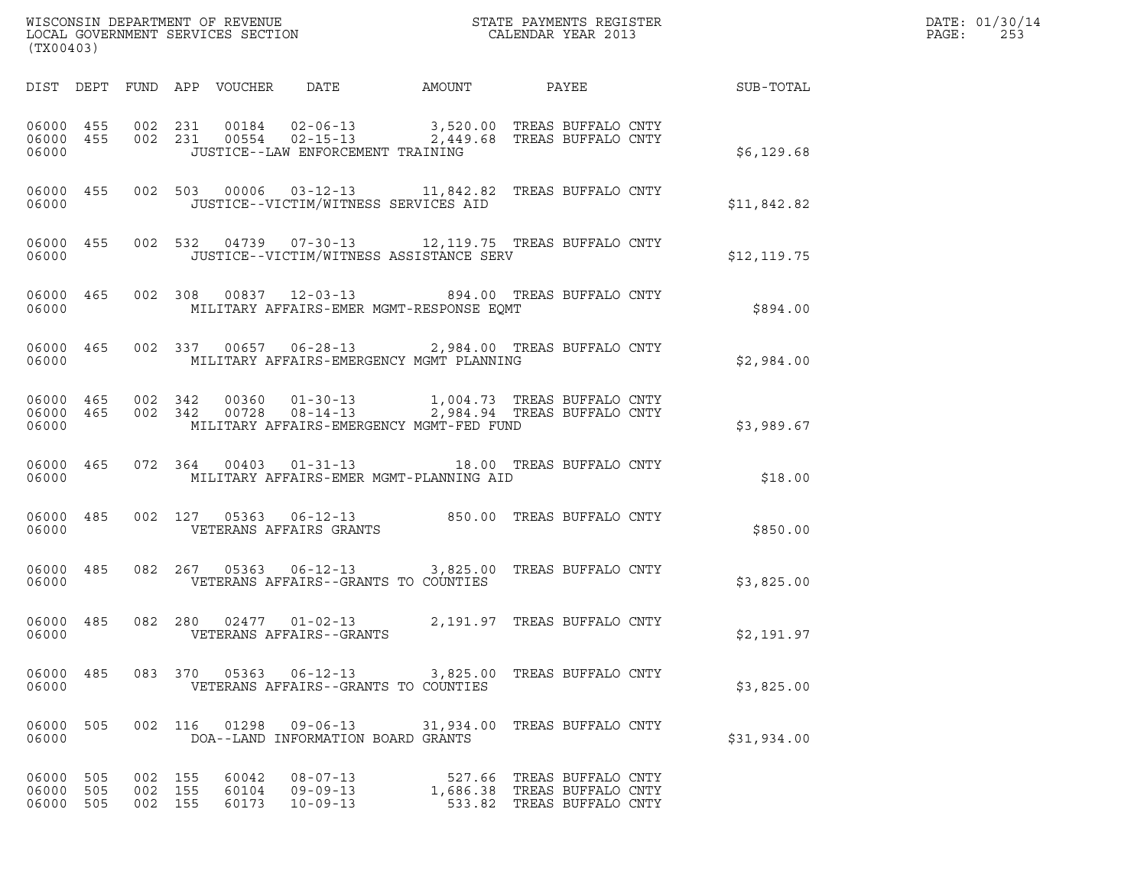| (TX00403)                       |           |                               |       |                                    |                                          | $\tt WISCONSIM DEPARTMENT OF REVENUE$ $\tt WISCONMIN SERS THE RAYMENT S REGISTERLOCAL GOVERNMENT SERVICES SECTION CALENDAR YEAR 2013$ |                                                           | DATE: 01/30/14<br>PAGE:<br>253 |
|---------------------------------|-----------|-------------------------------|-------|------------------------------------|------------------------------------------|---------------------------------------------------------------------------------------------------------------------------------------|-----------------------------------------------------------|--------------------------------|
|                                 |           |                               |       |                                    |                                          |                                                                                                                                       | DIST DEPT FUND APP VOUCHER DATE AMOUNT PAYEE TO SUB-TOTAL |                                |
| 06000                           |           |                               |       | JUSTICE--LAW ENFORCEMENT TRAINING  |                                          | 06000 455 002 231 00184 02-06-13 3,520.00 TREAS BUFFALO CNTY 06000 455 002 231 00554 02-15-13 2,449.68 TREAS BUFFALO CNTY             | \$6,129.68                                                |                                |
| 06000                           |           |                               |       |                                    | JUSTICE--VICTIM/WITNESS SERVICES AID     | 06000 455 002 503 00006 03-12-13 11,842.82 TREAS BUFFALO CNTY                                                                         | \$11,842.82                                               |                                |
| 06000                           |           |                               |       |                                    | JUSTICE--VICTIM/WITNESS ASSISTANCE SERV  | 06000 455 002 532 04739 07-30-13 12,119.75 TREAS BUFFALO CNTY                                                                         | \$12, 119.75                                              |                                |
| 06000                           |           |                               |       |                                    | MILITARY AFFAIRS-EMER MGMT-RESPONSE EQMT | 06000 465 002 308 00837 12-03-13 894.00 TREAS BUFFALO CNTY                                                                            | \$894.00                                                  |                                |
| 06000                           |           |                               |       |                                    | MILITARY AFFAIRS-EMERGENCY MGMT PLANNING | 06000 465 002 337 00657 06-28-13 2,984.00 TREAS BUFFALO CNTY                                                                          | \$2,984.00                                                |                                |
| 06000                           |           |                               |       |                                    | MILITARY AFFAIRS-EMERGENCY MGMT-FED FUND | 06000 465 002 342 00360 01-30-13 1,004.73 TREAS BUFFALO CNTY 06000 465 002 342 00728 08-14-13 2,984.94 TREAS BUFFALO CNTY             | \$3,989.67                                                |                                |
| 06000                           |           |                               |       |                                    | MILITARY AFFAIRS-EMER MGMT-PLANNING AID  | 06000 465 072 364 00403 01-31-13 18.00 TREAS BUFFALO CNTY                                                                             | \$18.00                                                   |                                |
| 06000                           | 06000 485 |                               |       | VETERANS AFFAIRS GRANTS            |                                          | 002 127 05363 06-12-13 850.00 TREAS BUFFALO CNTY                                                                                      | \$850.00                                                  |                                |
| 06000                           |           |                               |       |                                    | VETERANS AFFAIRS--GRANTS TO COUNTIES     | 06000 485 082 267 05363 06-12-13 3,825.00 TREAS BUFFALO CNTY                                                                          | \$3,825.00                                                |                                |
| 06000                           |           |                               |       | VETERANS AFFAIRS--GRANTS           |                                          | 06000 485 082 280 02477 01-02-13 2,191.97 TREAS BUFFALO CNTY                                                                          | \$2,191.97                                                |                                |
| 06000                           |           |                               |       |                                    | VETERANS AFFAIRS--GRANTS TO COUNTIES     | 06000 485 083 370 05363 06-12-13 3,825.00 TREAS BUFFALO CNTY                                                                          | \$3,825.00                                                |                                |
| 06000                           |           |                               |       | DOA--LAND INFORMATION BOARD GRANTS |                                          | 06000 505 002 116 01298 09-06-13 31,934.00 TREAS BUFFALO CNTY                                                                         | \$31,934.00                                               |                                |
| 06000 505<br>06000<br>06000 505 | 505       | 002 155<br>002 155<br>002 155 | 60042 | $08 - 07 - 13$<br>60173 10-09-13   |                                          | 527.66 TREAS BUFFALO CNTY<br>60104  09-09-13  1,686.38  TREAS BUFFALO CNTY<br>533.82 TREAS BUFFALO CNTY                               |                                                           |                                |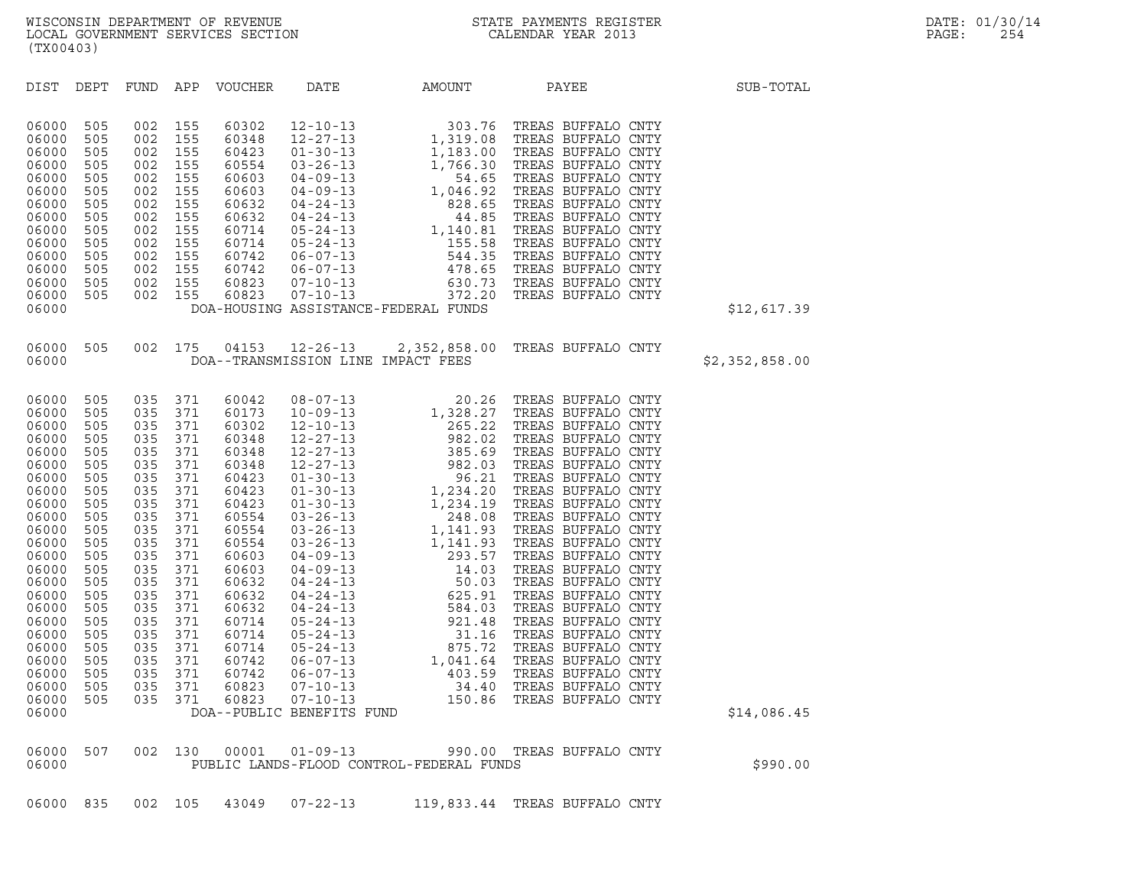| (TX00403)                                                                                                                                                                                                                     |                                                                                                                                                                      |                                                                           |                                                                                                            |                            |                                          |                                                                                                                                                                                                                                                                                                                          |                |
|-------------------------------------------------------------------------------------------------------------------------------------------------------------------------------------------------------------------------------|----------------------------------------------------------------------------------------------------------------------------------------------------------------------|---------------------------------------------------------------------------|------------------------------------------------------------------------------------------------------------|----------------------------|------------------------------------------|--------------------------------------------------------------------------------------------------------------------------------------------------------------------------------------------------------------------------------------------------------------------------------------------------------------------------|----------------|
|                                                                                                                                                                                                                               |                                                                                                                                                                      |                                                                           |                                                                                                            | DIST DEPT FUND APP VOUCHER |                                          | DATE AMOUNT PAYEE                                                                                                                                                                                                                                                                                                        | SUB-TOTAL      |
| 06000<br>06000<br>06000<br>06000<br>06000<br>06000<br>06000<br>06000<br>06000<br>06000<br>06000<br>06000<br>06000<br>06000<br>06000                                                                                           | 505<br>505<br>505<br>505<br>505<br>505<br>505<br>505<br>505<br>505<br>505<br>505<br>505<br>505                                                                       | 002<br>002<br>002<br>002<br>002<br>002<br>002<br>002<br>002<br>002<br>002 | 155<br>155<br>155<br>155<br>155<br>155<br>155<br>155<br>155<br>155<br>155<br>002 155<br>002 155<br>002 155 |                            | DOA-HOUSING ASSISTANCE-FEDERAL FUNDS     |                                                                                                                                                                                                                                                                                                                          | \$12,617.39    |
| 06000<br>06000                                                                                                                                                                                                                |                                                                                                                                                                      |                                                                           |                                                                                                            |                            | DOA--TRANSMISSION LINE IMPACT FEES       | 505 002 175 04153 12-26-13 2,352,858.00 TREAS BUFFALO CNTY                                                                                                                                                                                                                                                               | \$2,352,858.00 |
| 06000<br>06000<br>06000<br>06000<br>06000<br>06000<br>06000<br>06000<br>06000<br>06000<br>06000<br>06000<br>06000<br>06000<br>06000<br>06000<br>06000<br>06000<br>06000<br>06000<br>06000<br>06000<br>06000<br>06000<br>06000 | 505<br>505<br>505<br>505<br>505<br>505<br>505<br>505<br>505<br>505<br>505<br>505<br>505<br>505<br>505<br>505<br>505<br>505<br>505<br>505<br>505<br>505<br>505<br>505 |                                                                           |                                                                                                            |                            |                                          | $\begin{tabular}{cccc} 0.35 & 371 & 60042 & 08-07-13 & 20.26 \text{ TREAS BUFFALO CNTY} \\ 0.35 & 371 & 60132 & 12-10-13 & 1, 328.27 \text{ TREAS BUFFALO CNTY} \\ 0.35 & 371 & 60348 & 12-27-13 & 982.02 \text{ TREAS BUFFALO CNTY} \\ 0.35 & 371 & 60348 & 12-27-13 & 385.62 \text{ TREAS BUFFALO CNTY} \\ 0.35 & 371$ | \$14,086.45    |
| 06000<br>06000                                                                                                                                                                                                                | 507                                                                                                                                                                  | 002 130                                                                   |                                                                                                            |                            | PUBLIC LANDS-FLOOD CONTROL-FEDERAL FUNDS | 00001  01-09-13  990.00  TREAS BUFFALO CNTY                                                                                                                                                                                                                                                                              | \$990.00       |
|                                                                                                                                                                                                                               |                                                                                                                                                                      |                                                                           |                                                                                                            |                            |                                          |                                                                                                                                                                                                                                                                                                                          |                |

| 06000 |  |  |  |
|-------|--|--|--|

06000 835 002 105 43049 07-22-13 119,833.44 TREAS BUFFALO CNTY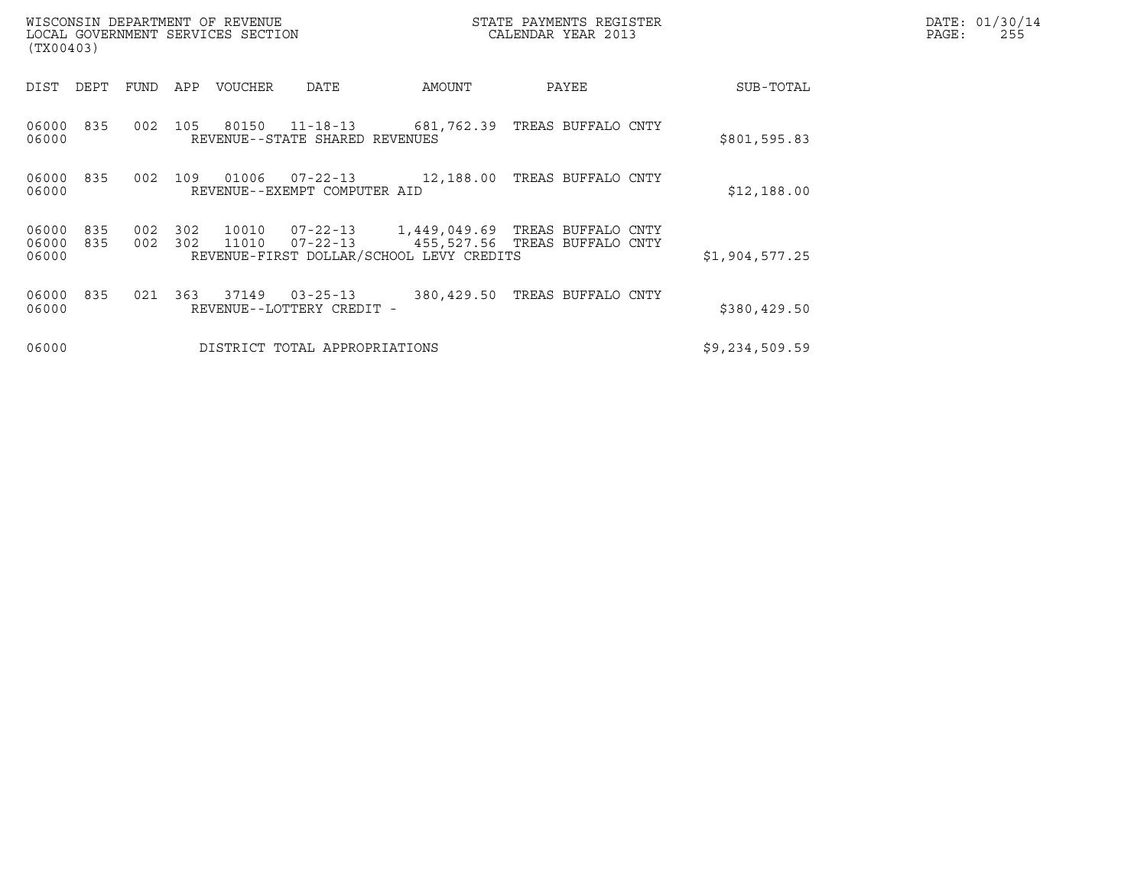| (TX00403)               |            |            |            | WISCONSIN DEPARTMENT OF REVENUE<br>LOCAL GOVERNMENT SERVICES SECTION |                                             |                                          | STATE PAYMENTS REGISTER<br>CALENDAR YEAR 2013                             |                | DATE: 01/30/14<br>PAGE:<br>255 |
|-------------------------|------------|------------|------------|----------------------------------------------------------------------|---------------------------------------------|------------------------------------------|---------------------------------------------------------------------------|----------------|--------------------------------|
| DIST                    | DEPT       | FUND       | APP        | VOUCHER                                                              | DATE                                        | AMOUNT                                   | PAYEE                                                                     | SUB-TOTAL      |                                |
| 06000<br>06000          | 835        | 002        | 105        | 80150                                                                | REVENUE--STATE SHARED REVENUES              |                                          | 11-18-13 681,762.39 TREAS BUFFALO CNTY                                    | \$801,595.83   |                                |
| 06000<br>06000          | 835        | 002        | 109        | 01006                                                                | REVENUE--EXEMPT COMPUTER AID                |                                          | 07-22-13 12,188.00 TREAS BUFFALO CNTY                                     | \$12,188.00    |                                |
| 06000<br>06000<br>06000 | 835<br>835 | 002<br>002 | 302<br>302 | 10010<br>11010                                                       | $07 - 22 - 13$                              | REVENUE-FIRST DOLLAR/SCHOOL LEVY CREDITS | 07-22-13 1,449,049.69 TREAS BUFFALO CNTY<br>455,527.56 TREAS BUFFALO CNTY | \$1,904,577.25 |                                |
| 06000<br>06000          | 835        | 021        | 363        | 37149                                                                | $03 - 25 - 13$<br>REVENUE--LOTTERY CREDIT - |                                          | 380,429.50 TREAS BUFFALO CNTY                                             | \$380, 429.50  |                                |
| 06000                   |            |            |            |                                                                      | DISTRICT TOTAL APPROPRIATIONS               |                                          |                                                                           | \$9,234,509.59 |                                |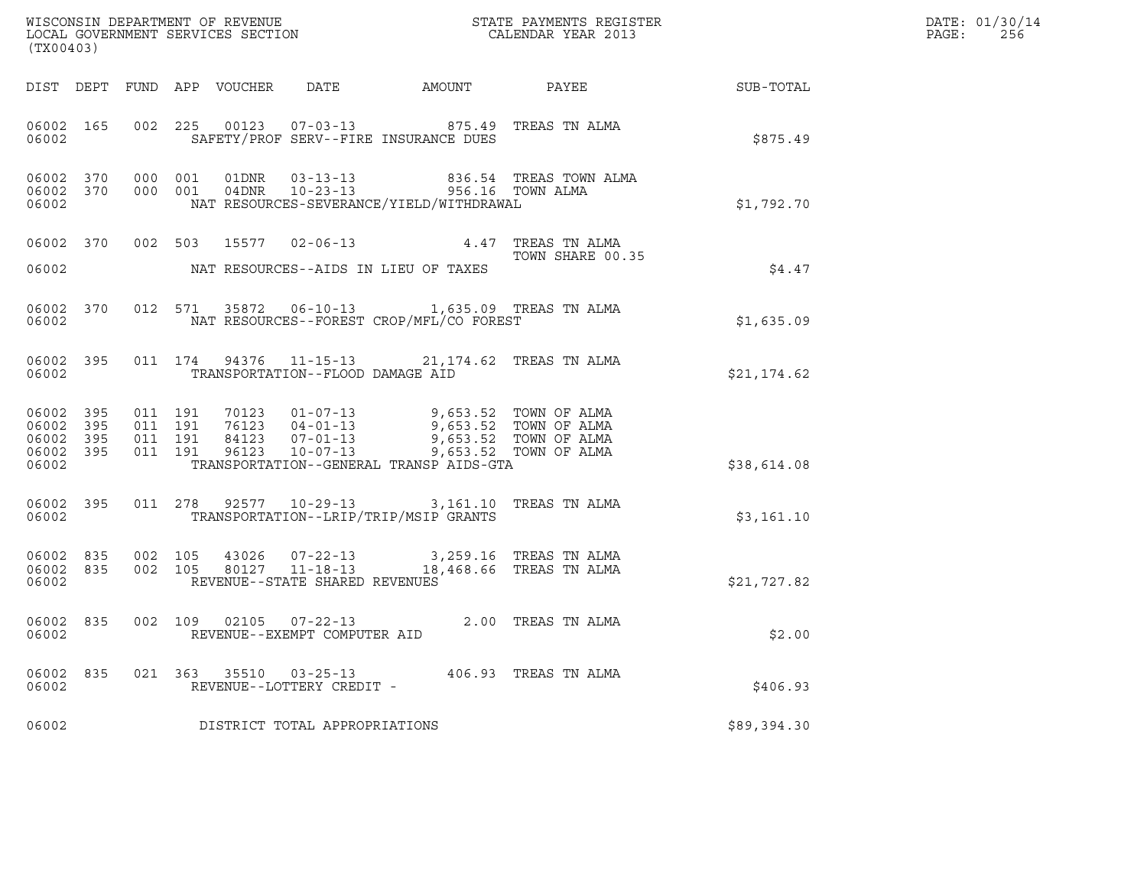| (TX00403)                                             |           |                                        |                    |                                                     |                                                                                                                                                                                                         |                                                                                                           |             | DATE: 01/30/14<br>PAGE:<br>256 |
|-------------------------------------------------------|-----------|----------------------------------------|--------------------|-----------------------------------------------------|---------------------------------------------------------------------------------------------------------------------------------------------------------------------------------------------------------|-----------------------------------------------------------------------------------------------------------|-------------|--------------------------------|
|                                                       |           |                                        |                    |                                                     |                                                                                                                                                                                                         |                                                                                                           |             |                                |
| 06002                                                 | 06002 165 |                                        |                    |                                                     | 002 225 00123 07-03-13 875.49 TREAS TN ALMA<br>SAFETY/PROF SERV--FIRE INSURANCE DUES                                                                                                                    |                                                                                                           | \$875.49    |                                |
| 06002                                                 |           |                                        |                    |                                                     | NAT RESOURCES-SEVERANCE/YIELD/WITHDRAWAL                                                                                                                                                                | 06002 370 000 001 01DNR 03-13-13 836.54 TREAS TOWN ALMA 06002 370 000 001 04DNR 10-23-13 956.16 TOWN ALMA | \$1,792.70  |                                |
| 06002                                                 | 06002 370 |                                        |                    |                                                     | 002 503 15577 02-06-13 4.47 TREAS TN ALMA<br>NAT RESOURCES--AIDS IN LIEU OF TAXES                                                                                                                       | TOWN SHARE 00.35                                                                                          | \$4.47      |                                |
| 06002                                                 |           |                                        |                    |                                                     | 06002 370 012 571 35872 06-10-13 1,635.09 TREAS TN ALMA<br>NAT RESOURCES--FOREST CROP/MFL/CO FOREST                                                                                                     |                                                                                                           | \$1,635.09  |                                |
| 06002                                                 |           |                                        |                    | TRANSPORTATION--FLOOD DAMAGE AID                    | 06002 395 011 174 94376 11-15-13 21,174.62 TREAS TN ALMA                                                                                                                                                |                                                                                                           | \$21,174.62 |                                |
| 06002 395<br>06002<br>06002 395<br>06002 395<br>06002 | 395       | 011 191<br>011 191                     | 011 191<br>011 191 |                                                     | 70123 01-07-13 9,653.52 TOWN OF ALMA<br>76123 04-01-13 9,653.52 TOWN OF ALMA<br>84123 07-01-13 9,653.52 TOWN OF ALMA<br>96123 10-07-13 9,653.52 TOWN OF ALMA<br>TRANSPORTATION--GENERAL TRANSP AIDS-GTA |                                                                                                           | \$38,614.08 |                                |
| 06002 395<br>06002                                    |           |                                        |                    |                                                     | 011 278 92577 10-29-13 3,161.10 TREAS TN ALMA<br>TRANSPORTATION--LRIP/TRIP/MSIP GRANTS                                                                                                                  |                                                                                                           | \$3,161.10  |                                |
| 06002                                                 |           | 06002 835 002 105<br>06002 835 002 105 |                    | REVENUE--STATE SHARED REVENUES                      | $\begin{tabular}{llllll} 43026 & 07-22-13 & & 3,259.16 & TREAS TN ALMA \\ 80127 & 11-18-13 & & 18,468.66 & TREAS TN ALMA \end{tabular}$                                                                 |                                                                                                           | \$21,727.82 |                                |
| 06002                                                 |           |                                        |                    | REVENUE--EXEMPT COMPUTER AID                        | 06002 835 002 109 02105 07-22-13 2.00 TREAS TN ALMA                                                                                                                                                     |                                                                                                           | \$2.00      |                                |
| 06002 835<br>06002                                    |           |                                        |                    | 021 363 35510 03-25-13<br>REVENUE--LOTTERY CREDIT - |                                                                                                                                                                                                         | 406.93 TREAS TN ALMA                                                                                      | \$406.93    |                                |
| 06002                                                 |           |                                        |                    | DISTRICT TOTAL APPROPRIATIONS                       |                                                                                                                                                                                                         |                                                                                                           | \$89,394.30 |                                |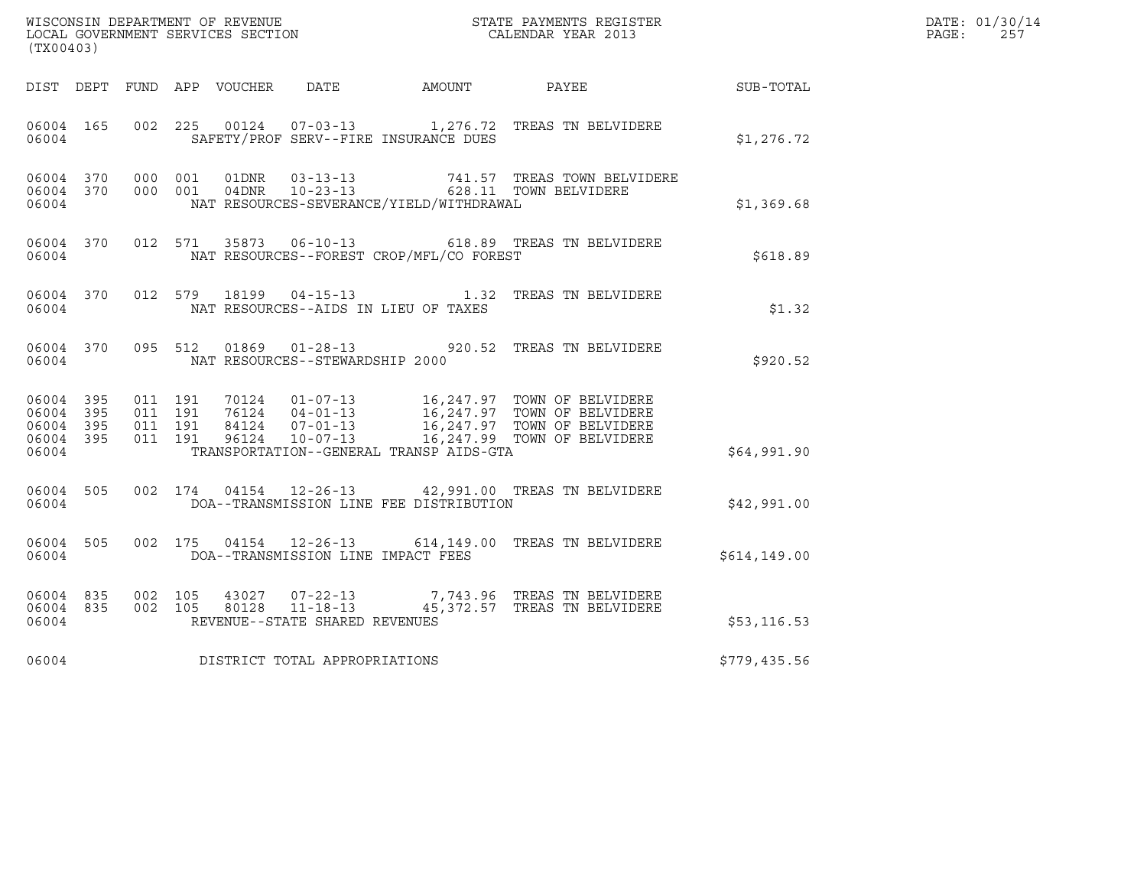|       | DATE: 01/30/14 |
|-------|----------------|
| PAGE: | 257            |

| (TX00403)                                                 |         |                               |                                                  |                                          | WISCONSIN DEPARTMENT OF REVENUE<br>LOCAL GOVERNMENT SERVICES SECTION<br>CALENDAR YEAR 2013                                                                                                       |               | DATE: 01/30/14<br>PAGE: 257 |
|-----------------------------------------------------------|---------|-------------------------------|--------------------------------------------------|------------------------------------------|--------------------------------------------------------------------------------------------------------------------------------------------------------------------------------------------------|---------------|-----------------------------|
|                                                           |         |                               |                                                  |                                          | DIST DEPT FUND APP VOUCHER DATE AMOUNT PAYEE TO SUB-TOTAL                                                                                                                                        |               |                             |
| 06004 165<br>06004                                        |         |                               |                                                  | SAFETY/PROF SERV--FIRE INSURANCE DUES    | 002  225  00124  07-03-13  1,276.72  TREAS TN BELVIDERE                                                                                                                                          | \$1,276.72    |                             |
| 06004                                                     |         |                               |                                                  | NAT RESOURCES-SEVERANCE/YIELD/WITHDRAWAL | 06004 370 000 001 01DNR 03-13-13  741.57 TREAS TOWN BELVIDERE 06004 370 000 001 04DNR 10-23-13  628.11 TOWN BELVIDERE                                                                            | \$1,369.68    |                             |
| 06004                                                     |         |                               |                                                  | NAT RESOURCES--FOREST CROP/MFL/CO FOREST | 06004 370 012 571 35873 06-10-13 618.89 TREAS TN BELVIDERE                                                                                                                                       | \$618.89      |                             |
| 06004                                                     |         |                               |                                                  | NAT RESOURCES--AIDS IN LIEU OF TAXES     | 06004 370 012 579 18199 04-15-13 1.32 TREAS TN BELVIDERE                                                                                                                                         | \$1.32        |                             |
| 06004 370<br>06004                                        | 095 512 |                               | NAT RESOURCES--STEWARDSHIP 2000                  |                                          | 01869  01-28-13  920.52  TREAS TN BELVIDERE                                                                                                                                                      | \$920.52      |                             |
| 06004 395<br>06004 395<br>06004 395<br>06004 395<br>06004 | 011 191 | 011 191<br>011 191<br>011 191 |                                                  | TRANSPORTATION--GENERAL TRANSP AIDS-GTA  | 70124  01-07-13  16,247.97  TOWN OF BELVIDERE<br>76124  04-01-13  16,247.97  TOWN OF BELVIDERE<br>84124  07-01-13  16,247.97  TOWN OF BELVIDERE<br>96124  10-07-13  16,247.99  TOWN OF BELVIDERE | \$64,991.90   |                             |
| 06004 505<br>06004                                        |         |                               |                                                  | DOA--TRANSMISSION LINE FEE DISTRIBUTION  | 002 174 04154 12-26-13 42,991.00 TREAS TN BELVIDERE                                                                                                                                              | \$42,991.00   |                             |
| 06004 505<br>06004                                        |         |                               |                                                  | DOA--TRANSMISSION LINE IMPACT FEES       | 002 175 04154 12-26-13 614,149.00 TREAS TN BELVIDERE                                                                                                                                             | \$614, 149.00 |                             |
| 06004 835 002 105<br>06004 835<br>06004                   |         | 002 105                       | 43027 07-22-13<br>REVENUE--STATE SHARED REVENUES |                                          | 7,743.96 TREAS TN BELVIDERE                                                                                                                                                                      | \$53, 116.53  |                             |
| 06004                                                     |         |                               | DISTRICT TOTAL APPROPRIATIONS                    |                                          |                                                                                                                                                                                                  | \$779,435.56  |                             |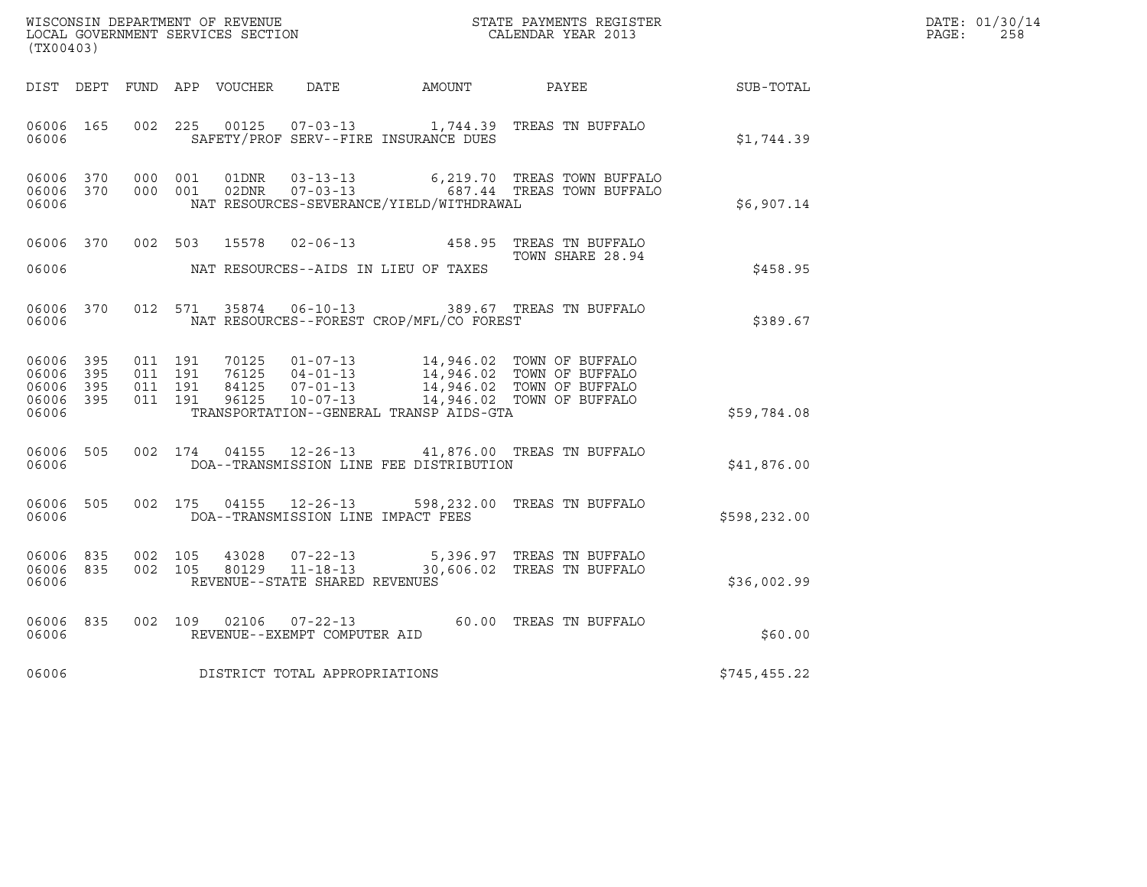| (TX00403)                                     |                   |                                          |         | WISCONSIN DEPARTMENT OF REVENUE<br>LOCAL GOVERNMENT SERVICES SECTION |                                                  |                                          | STATE PAYMENTS REGISTER<br>CALENDAR YEAR 2013                                                                                                                                            |                  | DATE: 01/30/14<br>$\mathtt{PAGE}$ :<br>258 |
|-----------------------------------------------|-------------------|------------------------------------------|---------|----------------------------------------------------------------------|--------------------------------------------------|------------------------------------------|------------------------------------------------------------------------------------------------------------------------------------------------------------------------------------------|------------------|--------------------------------------------|
|                                               |                   |                                          |         | DIST DEPT FUND APP VOUCHER DATE                                      |                                                  | AMOUNT PAYEE                             |                                                                                                                                                                                          | <b>SUB-TOTAL</b> |                                            |
| 06006 165<br>06006                            |                   | 002 225                                  |         | 00125                                                                |                                                  | SAFETY/PROF SERV--FIRE INSURANCE DUES    | 07-03-13 1,744.39 TREAS TN BUFFALO                                                                                                                                                       | \$1,744.39       |                                            |
| 06006 370<br>06006                            | 06006 370         | 000 001<br>000 001                       |         | 01DNR<br>02DNR                                                       |                                                  | NAT RESOURCES-SEVERANCE/YIELD/WITHDRAWAL | 6,219.70 TREAS TOWN BUFFALO<br>03-13-13 6,219.70 TREAS TOWN BUFFALO<br>07-03-13 687.44 TREAS TOWN BUFFALO                                                                                | \$6,907.14       |                                            |
| 06006 370<br>06006                            |                   |                                          | 002 503 |                                                                      |                                                  | NAT RESOURCES--AIDS IN LIEU OF TAXES     | 15578  02-06-13  458.95  TREAS TN BUFFALO<br>TOWN SHARE 28.94                                                                                                                            | \$458.95         |                                            |
| 06006 370<br>06006                            |                   |                                          | 012 571 |                                                                      |                                                  | NAT RESOURCES--FOREST CROP/MFL/CO FOREST | 35874  06-10-13  389.67  TREAS TN BUFFALO                                                                                                                                                | \$389.67         |                                            |
| 06006 395<br>06006<br>06006<br>06006<br>06006 | 395<br>395<br>395 | 011 191<br>011 191<br>011 191<br>011 191 |         |                                                                      |                                                  | TRANSPORTATION--GENERAL TRANSP AIDS-GTA  | 70125  01-07-13  14,946.02  TOWN OF BUFFALO<br>76125  04-01-13  14,946.02  TOWN OF BUFFALO<br>84125  07-01-13  14,946.02  TOWN OF BUFFALO<br>96125  10-07-13  14,946.02  TOWN OF BUFFALO | \$59,784.08      |                                            |
| 06006 505<br>06006                            |                   | 002 174                                  |         |                                                                      |                                                  | DOA--TRANSMISSION LINE FEE DISTRIBUTION  | 04155  12-26-13  41,876.00  TREAS TN BUFFALO                                                                                                                                             | \$41,876.00      |                                            |
| 06006 505<br>06006                            |                   |                                          |         |                                                                      | 002 175 04155 12-26-13                           | DOA--TRANSMISSION LINE IMPACT FEES       | 598, 232.00 TREAS TN BUFFALO                                                                                                                                                             | \$598, 232.00    |                                            |
| 06006 835<br>06006<br>06006                   | 835               | 002 105<br>002 105                       |         | 43028<br>80129                                                       | $11 - 18 - 13$<br>REVENUE--STATE SHARED REVENUES |                                          | 07-22-13 5,396.97 TREAS TN BUFFALO<br>30,606.02 TREAS TN BUFFALO                                                                                                                         | \$36,002.99      |                                            |
| 06006 835<br>06006                            |                   | 002 109                                  |         | 02106                                                                | $07 - 22 - 13$<br>REVENUE--EXEMPT COMPUTER AID   |                                          | 60.00 TREAS TN BUFFALO                                                                                                                                                                   | \$60.00          |                                            |
| 06006                                         |                   |                                          |         |                                                                      | DISTRICT TOTAL APPROPRIATIONS                    |                                          |                                                                                                                                                                                          | \$745,455.22     |                                            |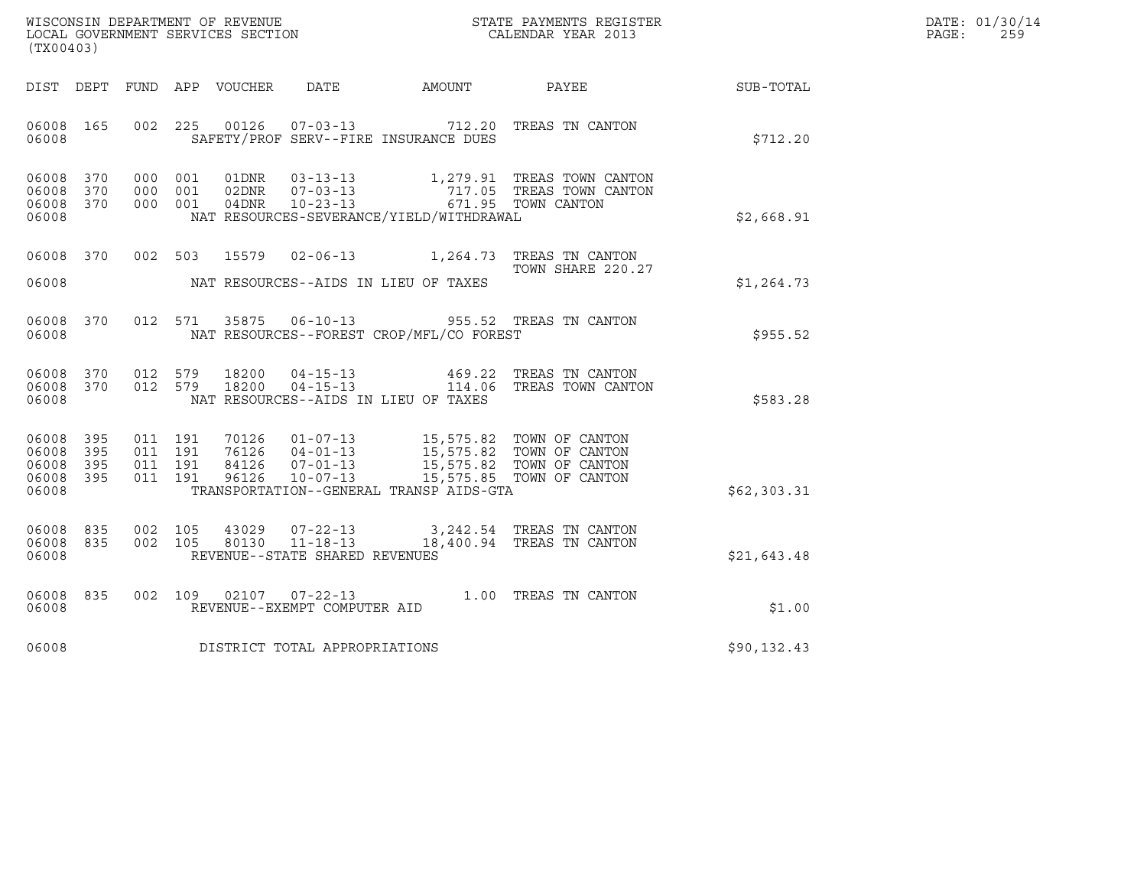| WISCONSIN DEPARTMENT OF REVENUE<br>LOCAL GOVERNMENT SERVICES SECTION | STATE PAYMENTS REGISTER<br>CALENDAR YEAR 2013 | DATE: 01/30/14<br>PAGE:<br>259 |
|----------------------------------------------------------------------|-----------------------------------------------|--------------------------------|

| (TX00403)                                                 |       | WISCONSIN DEPARTMENT OF REVENUE<br>LOCAL GOVERNMENT SERVICES SECTION<br>CALENDAR YEAR 2013 | R                              | DATE: 01/30/14<br>$\mathtt{PAGE:}$<br>259      |                                                                                                                                                                                                          |             |  |
|-----------------------------------------------------------|-------|--------------------------------------------------------------------------------------------|--------------------------------|------------------------------------------------|----------------------------------------------------------------------------------------------------------------------------------------------------------------------------------------------------------|-------------|--|
|                                                           |       |                                                                                            |                                |                                                | DIST DEPT FUND APP VOUCHER DATE AMOUNT PAYEE SUB-TOTAL                                                                                                                                                   |             |  |
| 06008                                                     |       |                                                                                            |                                |                                                | 06008 165 002 225 00126 07-03-13 712.20 TREAS TN CANTON<br>SAFETY/PROF SERV--FIRE INSURANCE DUES                                                                                                         | \$712.20    |  |
| 06008 370<br>06008 370<br>06008 370<br>06008              |       |                                                                                            |                                | NAT RESOURCES-SEVERANCE/YIELD/WITHDRAWAL       |                                                                                                                                                                                                          | \$2,668.91  |  |
| 06008                                                     |       |                                                                                            |                                | NAT RESOURCES--AIDS IN LIEU OF TAXES           | 06008 370 002 503 15579 02-06-13 1,264.73 TREAS TN CANTON 106008 370<br>TOWN SHARE 220.27                                                                                                                | \$1,264.73  |  |
|                                                           |       |                                                                                            |                                | 06008 NAT RESOURCES--FOREST CROP/MFL/CO FOREST | 06008 370 012 571 35875 06-10-13 955.52 TREAS TN CANTON                                                                                                                                                  | \$955.52    |  |
| 06008 370<br>06008 370<br>06008                           |       |                                                                                            |                                | NAT RESOURCES--AIDS IN LIEU OF TAXES           | 012 579 18200 04-15-13 469.22 TREAS TN CANTON<br>012 579 18200 04-15-13 114.06 TREAS TOWN CANTON                                                                                                         | \$583.28    |  |
| 06008 395<br>06008 395<br>06008 395<br>06008 395<br>06008 |       |                                                                                            |                                | TRANSPORTATION--GENERAL TRANSP AIDS-GTA        | 011 191 70126 01-07-13 15,575.82 TOWN OF CANTON<br>011 191 76126 04-01-13 15,575.82 TOWN OF CANTON<br>011 191 84126 07-01-13 15,575.82 TOWN OF CANTON<br>011 191 96126 10-07-13 15,575.85 TOWN OF CANTON | \$62,303.31 |  |
| 06008 835<br>06008 835<br>06008                           |       |                                                                                            | REVENUE--STATE SHARED REVENUES |                                                | $\begin{array}{cccc} 002 & 105 & 43029 & 07\texttt{-}22\texttt{-}13 \\ 002 & 105 & 80130 & 11\texttt{-}18\texttt{-}13 & 18,400.94 & \texttt{TREAS TN CANTON} \end{array}$                                | \$21,643.48 |  |
| 06008 835                                                 | 06008 |                                                                                            | REVENUE--EXEMPT COMPUTER AID   |                                                | 002 109 02107 07-22-13 1.00 TREAS TN CANTON                                                                                                                                                              | \$1.00      |  |
| 06008                                                     |       |                                                                                            | DISTRICT TOTAL APPROPRIATIONS  |                                                |                                                                                                                                                                                                          | \$90,132.43 |  |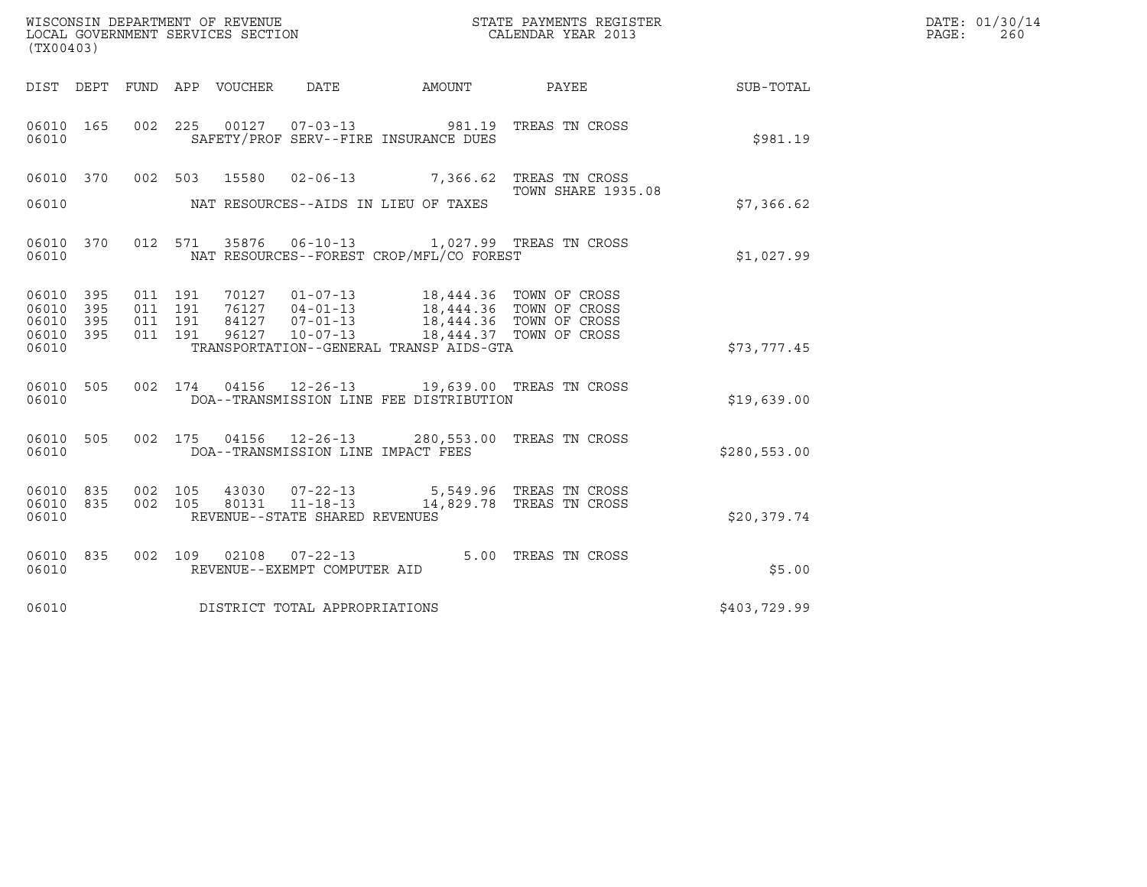| (TX00403)                                                |                                                                                                                                                                                                    |                            |              | DATE: 01/30/14<br>PAGE:<br>260 |
|----------------------------------------------------------|----------------------------------------------------------------------------------------------------------------------------------------------------------------------------------------------------|----------------------------|--------------|--------------------------------|
| DIST DEPT FUND APP VOUCHER                               | DATE<br>AMOUNT                                                                                                                                                                                     | <b>PAYEE</b> FOR THE PAYEE | SUB-TOTAL    |                                |
| 06010 165<br>06010                                       | 002 225 00127 07-03-13 981.19 TREAS TN CROSS<br>SAFETY/PROF SERV--FIRE INSURANCE DUES                                                                                                              |                            | \$981.19     |                                |
| 06010 370 002 503 15580                                  | 02-06-13 7,366.62 TREAS TN CROSS                                                                                                                                                                   | <b>TOWN SHARE 1935.08</b>  |              |                                |
| 06010                                                    | NAT RESOURCES--AIDS IN LIEU OF TAXES                                                                                                                                                               |                            | \$7,366.62   |                                |
| 06010 370<br>06010                                       | 012 571 35876 06-10-13 1,027.99 TREAS TN CROSS<br>NAT RESOURCES--FOREST CROP/MFL/CO FOREST                                                                                                         |                            | \$1,027.99   |                                |
| 06010 395<br>011 191<br>395<br>011 191<br>06010          | 70127  01-07-13  18,444.36  TOWN OF CROSS                                                                                                                                                          |                            |              |                                |
| 06010<br>395<br>011 191<br>06010 395<br>011 191<br>06010 | 76127      04-01-13                18,444.36    TOWN OF CROSS<br>84127     07-01-13               18,444.36    TOWN OF CROSS<br>96127<br>$10 - 07 - 13$<br>TRANSPORTATION--GENERAL TRANSP AIDS-GTA | 18,444.37 TOWN OF CROSS    | \$73,777.45  |                                |
| 06010 505<br>06010                                       | 002 174 04156 12-26-13 19,639.00 TREAS TN CROSS<br>DOA--TRANSMISSION LINE FEE DISTRIBUTION                                                                                                         |                            | \$19,639.00  |                                |
| 06010<br>505<br>06010                                    | 002 175 04156 12-26-13 280,553.00 TREAS TN CROSS<br>DOA--TRANSMISSION LINE IMPACT FEES                                                                                                             |                            | \$280,553.00 |                                |
| 06010 835<br>002 105<br>06010 835<br>002 105<br>06010    | 43030 07-22-13 5,549.96 TREAS TN CROSS<br>80131 11-18-13<br>REVENUE--STATE SHARED REVENUES                                                                                                         | 14,829.78 TREAS TN CROSS   | \$20,379.74  |                                |
| 06010 835<br>06010                                       | 002 109 02108 07-22-13<br>REVENUE--EXEMPT COMPUTER AID                                                                                                                                             | 5.00 TREAS TN CROSS        | \$5.00       |                                |
| 06010                                                    | DISTRICT TOTAL APPROPRIATIONS                                                                                                                                                                      |                            | \$403,729.99 |                                |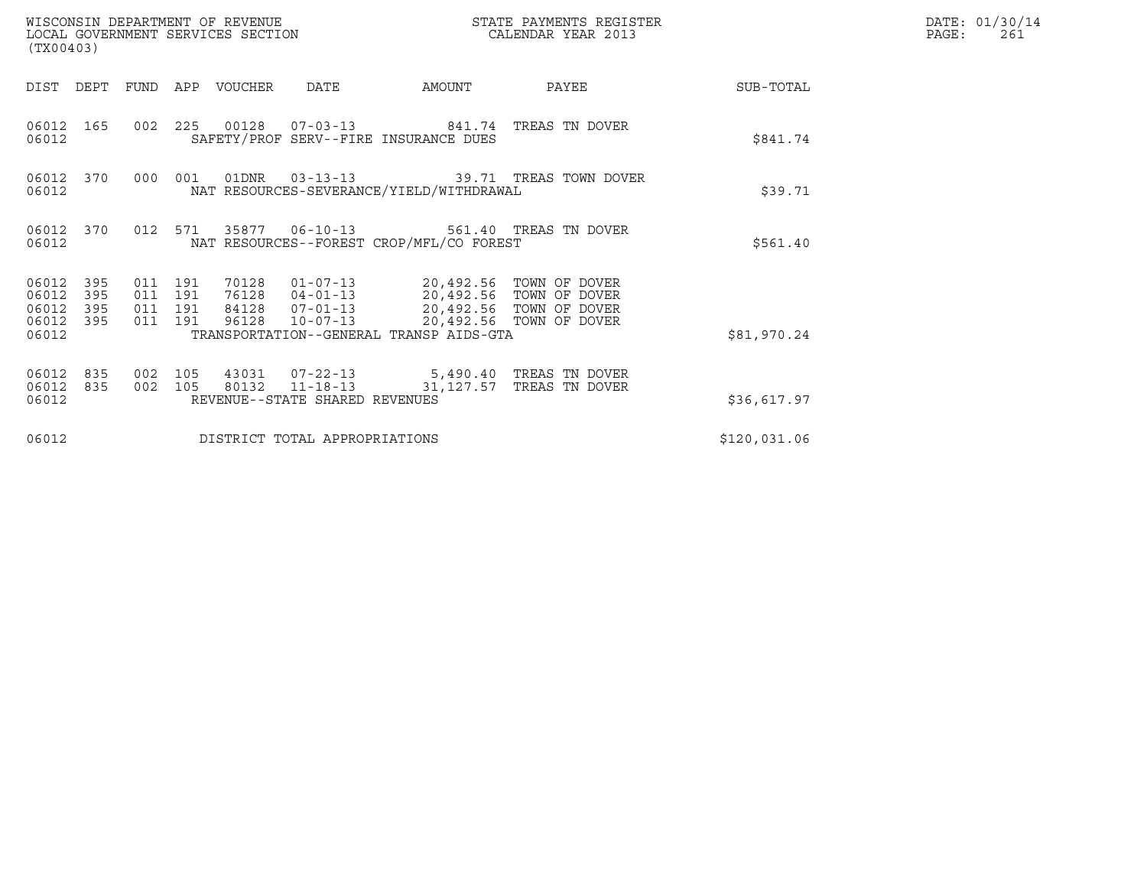| (TX00403)                                     |                   |                                          |         | WISCONSIN DEPARTMENT OF REVENUE<br>LOCAL GOVERNMENT SERVICES SECTION |                                |                                                                                                                                                     | STATE PAYMENTS REGISTER<br>CALENDAR YEAR 2013 |              | DATE: 01/30/14<br>PAGE:<br>261 |
|-----------------------------------------------|-------------------|------------------------------------------|---------|----------------------------------------------------------------------|--------------------------------|-----------------------------------------------------------------------------------------------------------------------------------------------------|-----------------------------------------------|--------------|--------------------------------|
| DIST                                          | DEPT              | FUND                                     |         | APP VOUCHER                                                          | DATE                           | AMOUNT                                                                                                                                              | PAYEE                                         | SUB-TOTAL    |                                |
| 06012 165<br>06012                            |                   |                                          |         |                                                                      |                                | 002  225  00128  07-03-13  841.74  TREAS TN DOVER<br>SAFETY/PROF SERV--FIRE INSURANCE DUES                                                          |                                               | \$841.74     |                                |
| 06012 370<br>06012                            |                   | 000                                      | 001     |                                                                      |                                | NAT RESOURCES-SEVERANCE/YIELD/WITHDRAWAL                                                                                                            |                                               | \$39.71      |                                |
| 06012 370<br>06012                            |                   |                                          | 012 571 |                                                                      | 35877   06-10-13               | NAT RESOURCES--FOREST CROP/MFL/CO FOREST                                                                                                            | 561.40 TREAS TN DOVER                         | \$561.40     |                                |
| 06012 395<br>06012<br>06012<br>06012<br>06012 | 395<br>395<br>395 | 011 191<br>011 191<br>011 191<br>011 191 |         | 70128<br>76128<br>84128<br>96128                                     | $10 - 07 - 13$                 | 01-07-13 20,492.56 TOWN OF DOVER<br>04-01-13 20,492.56 TOWN OF DOVER<br>07-01-13 20,492.56 TOWN OF DOVER<br>TRANSPORTATION--GENERAL TRANSP AIDS-GTA | 20,492.56 TOWN OF DOVER                       | \$81,970.24  |                                |
| 06012<br>06012<br>06012                       | 835<br>835        | 002<br>002 105                           | 105     |                                                                      | REVENUE--STATE SHARED REVENUES | 43031  07-22-13  5,490.40 TREAS TN DOVER<br>80132  11-18-13  31,127.57  TREAS TN DOVER                                                              |                                               | \$36,617.97  |                                |
| 06012                                         |                   |                                          |         |                                                                      | DISTRICT TOTAL APPROPRIATIONS  |                                                                                                                                                     |                                               | \$120,031.06 |                                |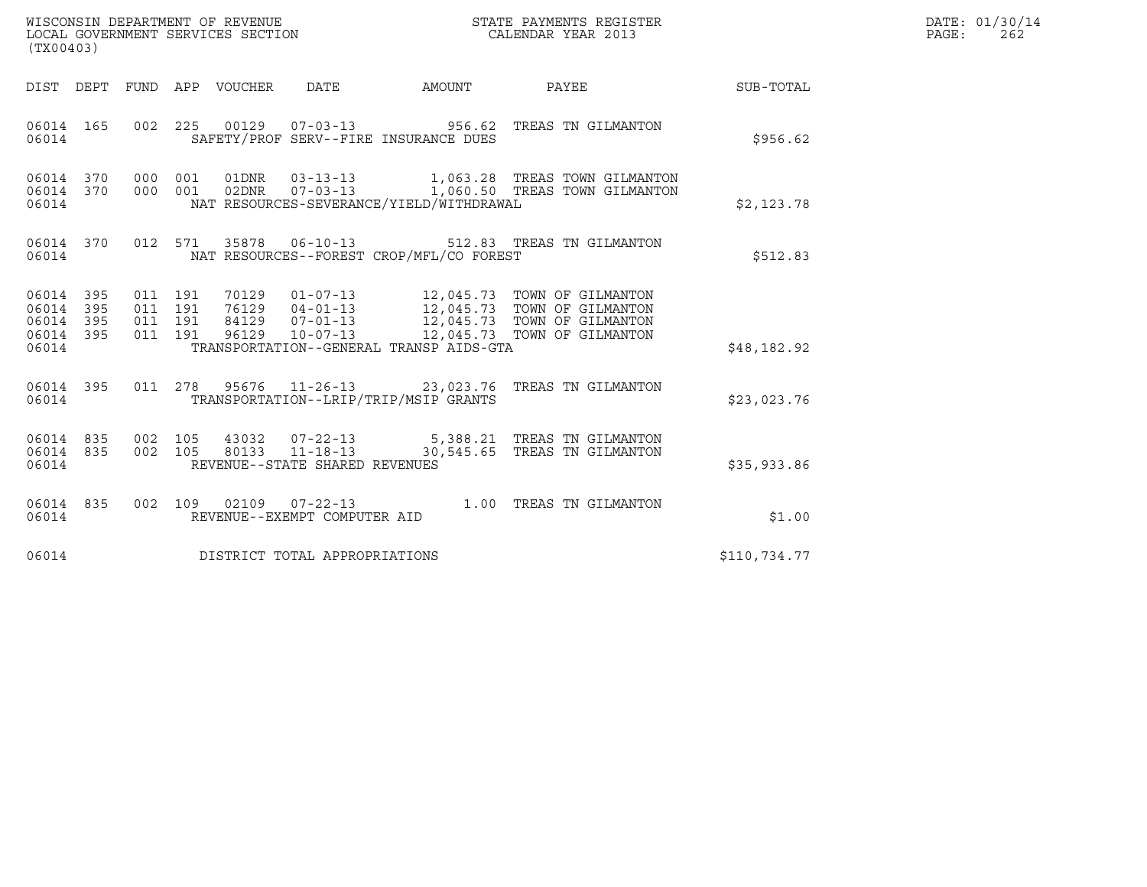| WISCONSIN DEPARTMENT OF REVENUE   | STATE PAYMENTS REGISTER | DATE: 01/30/14 |
|-----------------------------------|-------------------------|----------------|
| LOCAL GOVERNMENT SERVICES SECTION | CALENDAR YEAR 2013      | 262<br>PAGE :  |

| (TX00403)                                                 |  |       |  |  |                                |                                                |                                                                                                                                                                                                                                                                                                                         | DATE: 01/30/14<br>PAGE:<br>262 |  |
|-----------------------------------------------------------|--|-------|--|--|--------------------------------|------------------------------------------------|-------------------------------------------------------------------------------------------------------------------------------------------------------------------------------------------------------------------------------------------------------------------------------------------------------------------------|--------------------------------|--|
|                                                           |  |       |  |  |                                |                                                | DIST DEPT FUND APP VOUCHER DATE AMOUNT PAYEE                                                                                                                                                                                                                                                                            | SUB-TOTAL                      |  |
|                                                           |  | 06014 |  |  |                                | SAFETY/PROF SERV--FIRE INSURANCE DUES          | 06014 165 002 225 00129 07-03-13 956.62 TREAS TN GILMANTON                                                                                                                                                                                                                                                              | \$956.62                       |  |
| 06014                                                     |  |       |  |  |                                | NAT RESOURCES-SEVERANCE/YIELD/WITHDRAWAL       | 06014 370 000 001 01DNR 03-13-13 1,063.28 TREAS TOWN GILMANTON<br>06014 370 000 001 02DNR 07-03-13 1,060.50 TREAS TOWN GILMANTON                                                                                                                                                                                        | \$2,123.78                     |  |
|                                                           |  |       |  |  |                                | 06014 NAT RESOURCES--FOREST CROP/MFL/CO FOREST | 06014 370 012 571 35878 06-10-13 512.83 TREAS TN GILMANTON                                                                                                                                                                                                                                                              | \$512.83                       |  |
| 06014 395<br>06014 395<br>06014 395<br>06014 395<br>06014 |  |       |  |  |                                | TRANSPORTATION--GENERAL TRANSP AIDS-GTA        | $\begin{tabular}{cccc} 011 & 191 & 70129 & 01-07-13 & 12,045.73 & TOWN OF GILMANTON \\ 011 & 191 & 76129 & 04-01-13 & 12,045.73 & TOWN OF GILMANTON \\ 011 & 191 & 84129 & 07-01-13 & 12,045.73 & TOWN OF GILMANTON \\ 011 & 191 & 96129 & 10-07-13 & 12,045.73 & TOWN OF GILMANTON \\ 011 & 191 & 96129 & 10-07-13 & $ | \$48,182.92                    |  |
| 06014                                                     |  |       |  |  |                                | TRANSPORTATION--LRIP/TRIP/MSIP GRANTS          | 06014 395 011 278 95676 11-26-13 23,023.76 TREAS TN GILMANTON                                                                                                                                                                                                                                                           | \$23,023.76                    |  |
| 06014                                                     |  |       |  |  | REVENUE--STATE SHARED REVENUES |                                                | 06014 835 002 105 43032 07-22-13 5,388.21 TREAS TN GILMANTON<br>06014 835 002 105 80133 11-18-13 30,545.65 TREAS TN GILMANTON                                                                                                                                                                                           | \$35,933.86                    |  |
| 06014                                                     |  |       |  |  | REVENUE--EXEMPT COMPUTER AID   |                                                | 06014 835 002 109 02109 07-22-13 1.00 TREAS TN GILMANTON                                                                                                                                                                                                                                                                | \$1.00                         |  |
| 06014                                                     |  |       |  |  | DISTRICT TOTAL APPROPRIATIONS  |                                                |                                                                                                                                                                                                                                                                                                                         | \$110,734.77                   |  |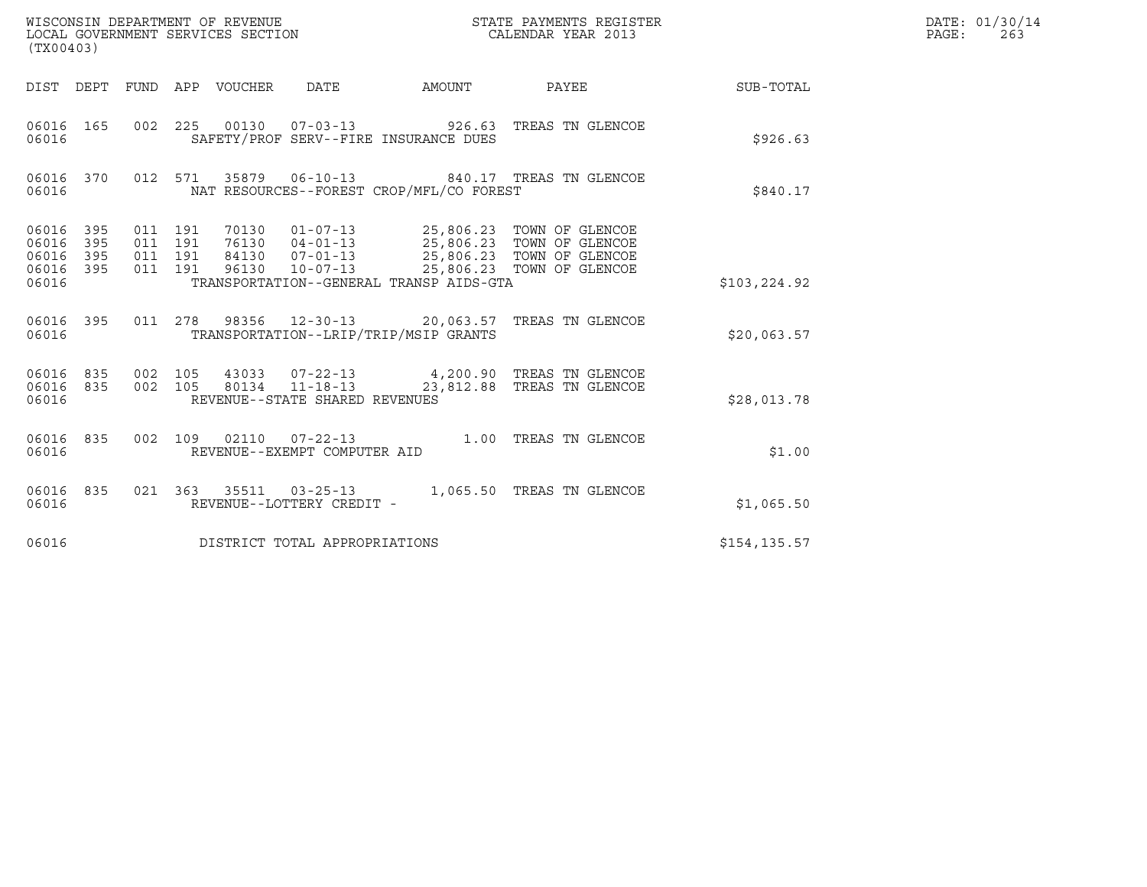| (TX00403)                                 |                          |                                          | WISCONSIN DEPARTMENT OF REVENUE<br>LOCAL GOVERNMENT SERVICES SECTION |                                |                                          | STATE PAYMENTS REGISTER<br>CALENDAR YEAR 2013                                                                                                                          |              | DATE: 01/30/14<br>$\mathtt{PAGE}$ :<br>263 |
|-------------------------------------------|--------------------------|------------------------------------------|----------------------------------------------------------------------|--------------------------------|------------------------------------------|------------------------------------------------------------------------------------------------------------------------------------------------------------------------|--------------|--------------------------------------------|
|                                           | DIST DEPT                |                                          | FUND APP VOUCHER DATE                                                |                                | AMOUNT                                   | PAYEE                                                                                                                                                                  | SUB-TOTAL    |                                            |
| 06016 165<br>06016                        |                          |                                          |                                                                      |                                | SAFETY/PROF SERV--FIRE INSURANCE DUES    | 002 225 00130 07-03-13 926.63 TREAS TN GLENCOE                                                                                                                         | \$926.63     |                                            |
| 06016 370<br>06016                        |                          |                                          |                                                                      | 012 571 35879 06-10-13         | NAT RESOURCES--FOREST CROP/MFL/CO FOREST | 840.17 TREAS TN GLENCOE                                                                                                                                                | \$840.17     |                                            |
| 06016<br>06016<br>06016<br>06016<br>06016 | 395<br>395<br>395<br>395 | 011 191<br>011 191<br>011 191<br>011 191 | 96130                                                                | $10 - 07 - 13$                 | TRANSPORTATION--GENERAL TRANSP AIDS-GTA  | 70130  01-07-13  25,806.23  TOWN OF GLENCOE<br>76130  04-01-13  25,806.23  TOWN OF GLENCOE<br>84130  07-01-13  25,806.23  TOWN OF GLENCOE<br>25,806.23 TOWN OF GLENCOE | \$103,224.92 |                                            |
| 06016 395<br>06016                        |                          |                                          |                                                                      |                                | TRANSPORTATION--LRIP/TRIP/MSIP GRANTS    | 011  278  98356  12-30-13  20,063.57  TREAS TN GLENCOE                                                                                                                 | \$20,063.57  |                                            |
| 06016<br>06016                            | 06016 835<br>835         | 002 105<br>002 105                       |                                                                      | REVENUE--STATE SHARED REVENUES |                                          | 43033  07-22-13  4,200.90  TREAS TN GLENCOE<br>80134  11-18-13  23,812.88 TREAS TN GLENCOE                                                                             | \$28,013.78  |                                            |
| 06016 835<br>06016                        |                          |                                          |                                                                      | REVENUE--EXEMPT COMPUTER AID   |                                          | 002 109 02110 07-22-13 1.00 TREAS TN GLENCOE                                                                                                                           | \$1.00       |                                            |
| 06016 835<br>06016                        |                          |                                          |                                                                      | REVENUE--LOTTERY CREDIT -      |                                          | 021  363  35511  03-25-13  1,065.50  TREAS TN GLENCOE                                                                                                                  | \$1,065.50   |                                            |
| 06016                                     |                          |                                          |                                                                      | DISTRICT TOTAL APPROPRIATIONS  |                                          |                                                                                                                                                                        | \$154,135.57 |                                            |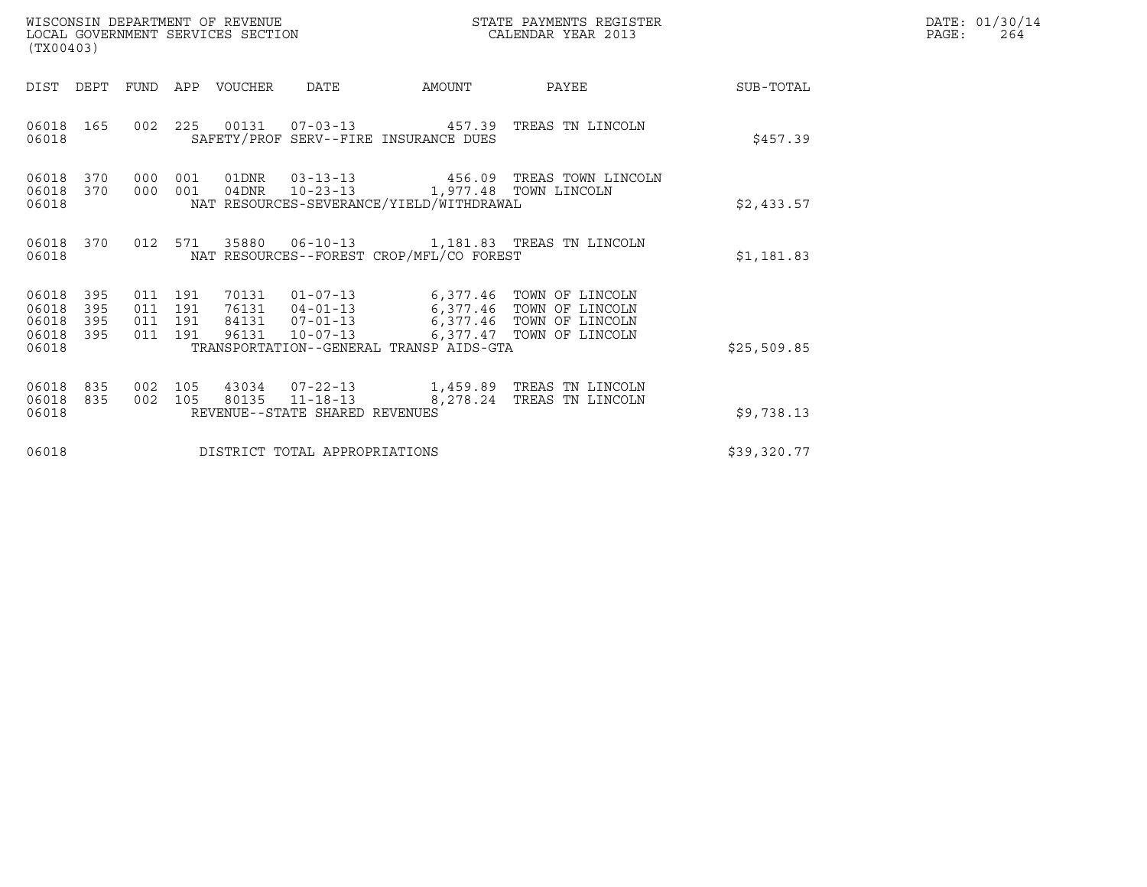| (TX00403)                                 |                          |                                          |     | WISCONSIN DEPARTMENT OF REVENUE<br>LOCAL GOVERNMENT SERVICES SECTION |                                | STATE PAYMENTS REGISTER<br>CALENDAR YEAR 2013                                       |                                                                                                                                                                                          |             | DATE: 01/30/14<br>PAGE:<br>264 |
|-------------------------------------------|--------------------------|------------------------------------------|-----|----------------------------------------------------------------------|--------------------------------|-------------------------------------------------------------------------------------|------------------------------------------------------------------------------------------------------------------------------------------------------------------------------------------|-------------|--------------------------------|
| DIST DEPT                                 |                          |                                          |     | FUND APP VOUCHER                                                     | DATE                           | AMOUNT                                                                              | PAYEE                                                                                                                                                                                    | SUB-TOTAL   |                                |
| 06018 165<br>06018                        |                          |                                          |     |                                                                      |                                | SAFETY/PROF SERV--FIRE INSURANCE DUES                                               | 002 225 00131 07-03-13 457.39 TREAS TN LINCOLN                                                                                                                                           | \$457.39    |                                |
| 06018<br>06018<br>06018                   | 370<br>370               | 000<br>000 001                           | 001 |                                                                      |                                | 04DNR  10-23-13  1,977.48  TOWN LINCOLN<br>NAT RESOURCES-SEVERANCE/YIELD/WITHDRAWAL | 01DNR  03-13-13  456.09 TREAS TOWN LINCOLN                                                                                                                                               | \$2,433.57  |                                |
| 06018                                     | 06018 370                |                                          |     |                                                                      |                                | NAT RESOURCES--FOREST CROP/MFL/CO FOREST                                            | 012 571 35880 06-10-13 1,181.83 TREAS TN LINCOLN                                                                                                                                         | \$1,181.83  |                                |
| 06018<br>06018<br>06018<br>06018<br>06018 | 395<br>395<br>395<br>395 | 011 191<br>011 191<br>011 191<br>011 191 |     |                                                                      |                                | TRANSPORTATION--GENERAL TRANSP AIDS-GTA                                             | 70131  01-07-13  6,377.46  TOWN OF LINCOLN<br>76131  04-01-13   6,377.46   TOWN OF LINCOLN<br>84131  07-01-13   6,377.46  TOWN OF LINCOLN<br>96131  10-07-13   6,377.47  TOWN OF LINCOLN | \$25,509.85 |                                |
| 06018<br>06018<br>06018                   | 835<br>835               | 002 105<br>002 105                       |     |                                                                      | REVENUE--STATE SHARED REVENUES |                                                                                     | 43034  07-22-13  1,459.89  TREAS TN LINCOLN<br>80135  11-18-13  8,278.24  TREAS TN LINCOLN                                                                                               | \$9,738.13  |                                |
| 06018                                     |                          |                                          |     |                                                                      | DISTRICT TOTAL APPROPRIATIONS  |                                                                                     |                                                                                                                                                                                          | \$39,320.77 |                                |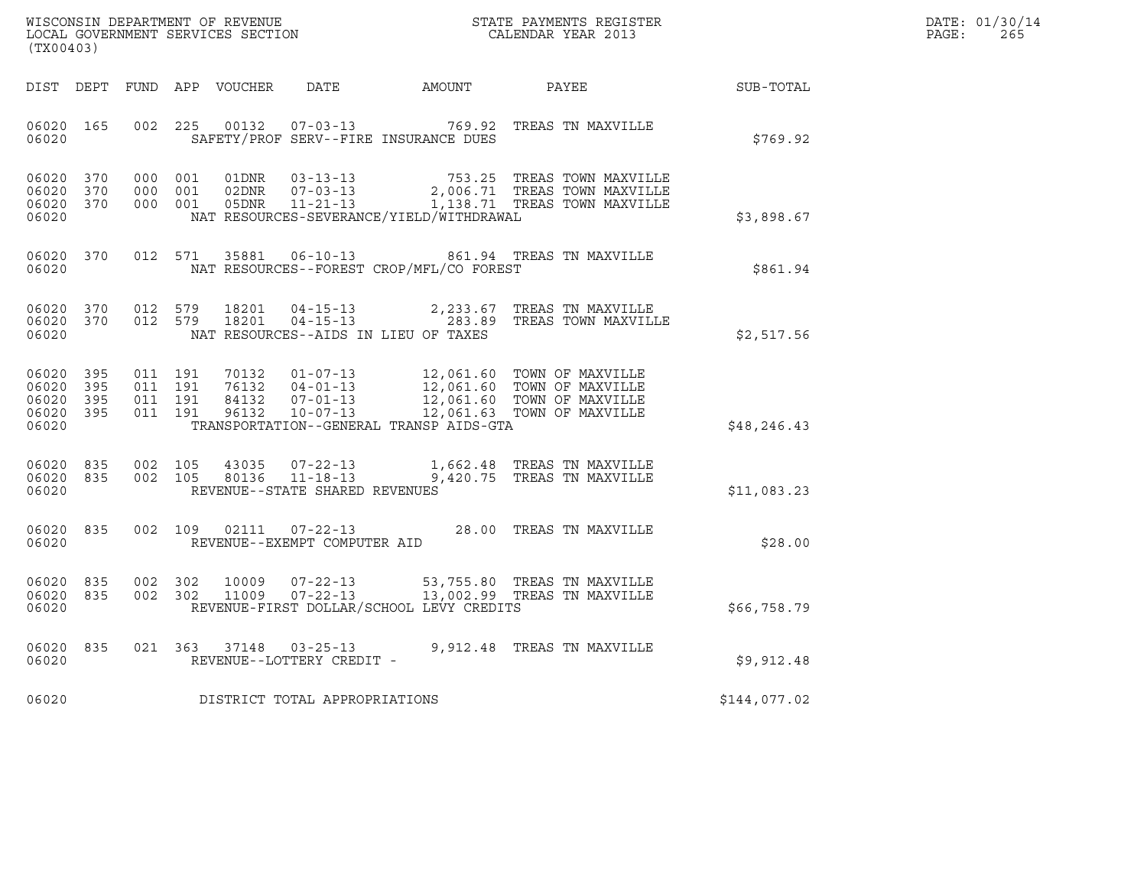| WISCONSIN DEPARTMENT OF REVENUE   | STATE PAYMENTS REGISTER | DATE: 01/30/14 |
|-----------------------------------|-------------------------|----------------|
| LOCAL GOVERNMENT SERVICES SECTION | CALENDAR YEAR 2013      | 265<br>PAGE :  |

| (TX00403)                                                 |     |                                      |                                |                                          | ${\tt WISCONSIM\ DEPARTMENT\ OF\ REVENUE}\hbox{\tt STATE\ PAYMENTS\ REGISTER\ LOCAL\ GOVERNMENT\ SERVICES\ SECTION\hbox{\tt SCITION}\hbox{\tt CALENDAR\ YEAR\ 2013}}$ |              | DATE: 01/30/14<br>PAGE:<br>265 |
|-----------------------------------------------------------|-----|--------------------------------------|--------------------------------|------------------------------------------|-----------------------------------------------------------------------------------------------------------------------------------------------------------------------|--------------|--------------------------------|
| DIST DEPT                                                 |     |                                      |                                | FUND APP VOUCHER DATE AMOUNT PAYEE       |                                                                                                                                                                       | SUB-TOTAL    |                                |
| 06020 165<br>06020                                        |     |                                      |                                | SAFETY/PROF SERV--FIRE INSURANCE DUES    | 002 225 00132 07-03-13 769.92 TREAS TN MAXVILLE                                                                                                                       | \$769.92     |                                |
| 06020 370<br>06020<br>06020 370<br>06020                  | 370 |                                      |                                | NAT RESOURCES-SEVERANCE/YIELD/WITHDRAWAL | 000 001 01DNR 03-13-13 753.25 TREAS TOWN MAXVILLE<br>000 001 02DNR 07-03-13 2,006.71 TREAS TOWN MAXVILLE<br>000 001 05DNR 11-21-13 1,138.71 TREAS TOWN MAXVILLE       | \$3,898.67   |                                |
| 06020 370<br>06020                                        |     | 012 571                              |                                | NAT RESOURCES--FOREST CROP/MFL/CO FOREST | 35881  06-10-13  861.94  TREAS TN MAXVILLE                                                                                                                            | \$861.94     |                                |
| 06020 370<br>06020 370<br>06020                           |     | 012 579<br>18201<br>012 579 18201    |                                | NAT RESOURCES--AIDS IN LIEU OF TAXES     | 04-15-13 2,233.67 TREAS TN MAXVILLE<br>04-15-13 283.89 TREAS TOWN MAXVILLE                                                                                            | \$2,517.56   |                                |
| 06020 395<br>06020 395<br>06020 395<br>06020 395<br>06020 |     |                                      |                                | TRANSPORTATION--GENERAL TRANSP AIDS-GTA  |                                                                                                                                                                       | \$48,246.43  |                                |
| 06020 835<br>06020 835<br>06020                           |     | 002 105<br>002 105                   | REVENUE--STATE SHARED REVENUES |                                          | 43035   07-22-13   1,662.48 TREAS TN MAXVILLE<br>80136   11-18-13   9,420.75 TREAS TN MAXVILLE                                                                        | \$11,083.23  |                                |
| 06020 835<br>06020                                        |     | 002 109<br>02111                     | REVENUE--EXEMPT COMPUTER AID   |                                          | 07-22-13 28.00 TREAS TN MAXVILLE                                                                                                                                      | \$28.00      |                                |
| 06020 835<br>06020 835<br>06020                           |     | 002 302<br>10009<br>002 302<br>11009 |                                | REVENUE-FIRST DOLLAR/SCHOOL LEVY CREDITS | 07-22-13 53,755.80 TREAS TN MAXVILLE<br>07-22-13 13,002.99 TREAS TN MAXVILLE                                                                                          | \$66,758.79  |                                |
| 06020<br>06020                                            | 835 | 021 363 37148 03-25-13               | REVENUE--LOTTERY CREDIT -      |                                          | 9,912.48 TREAS TN MAXVILLE                                                                                                                                            | \$9,912.48   |                                |
| 06020                                                     |     | DISTRICT TOTAL APPROPRIATIONS        |                                |                                          |                                                                                                                                                                       | \$144,077.02 |                                |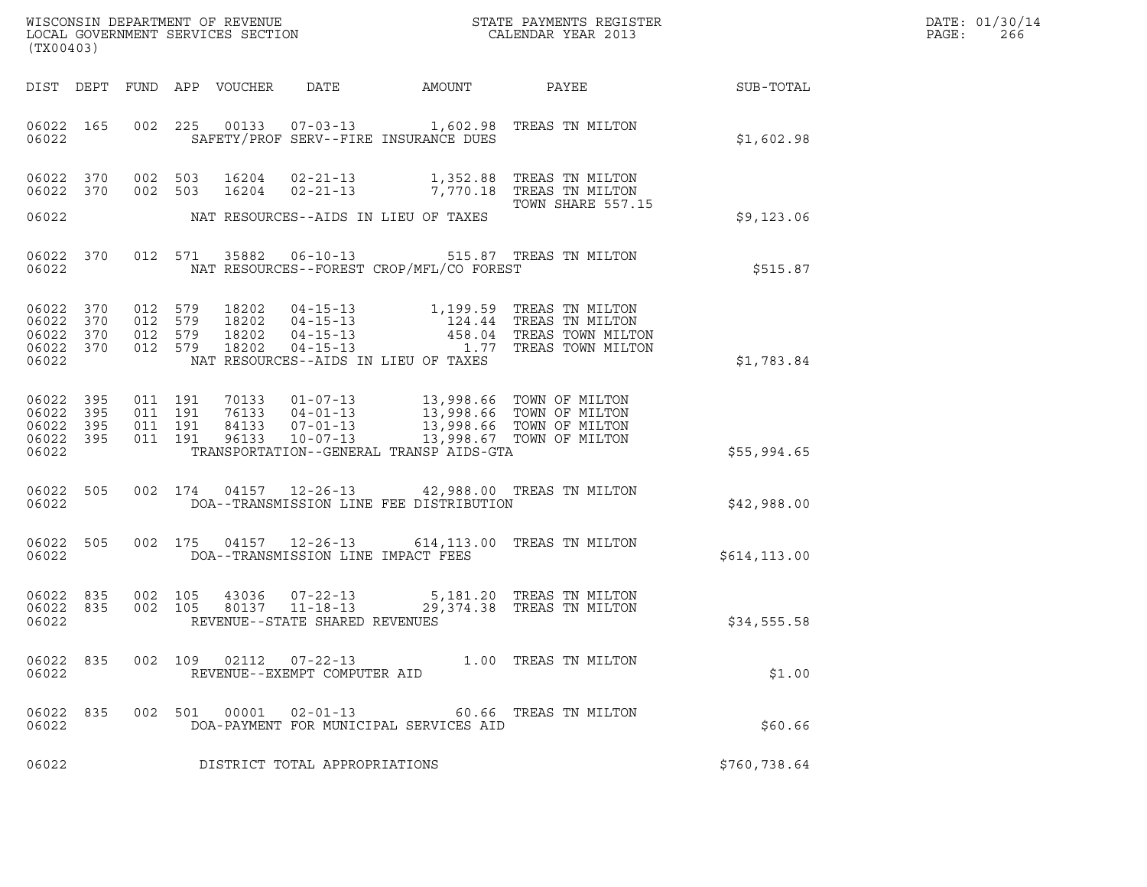| DATE: | 01/30/14 |
|-------|----------|
| PAGE: | 266      |

| (TX00403)                                     |                   |                                          |         |                                  |                                                                    |                                          |                                                                                                                                                                    |               | DATE: 01/30/14<br>PAGE:<br>266 |
|-----------------------------------------------|-------------------|------------------------------------------|---------|----------------------------------|--------------------------------------------------------------------|------------------------------------------|--------------------------------------------------------------------------------------------------------------------------------------------------------------------|---------------|--------------------------------|
|                                               |                   |                                          |         | DIST DEPT FUND APP VOUCHER       | DATE                                                               | AMOUNT                                   | PAYEE                                                                                                                                                              | SUB-TOTAL     |                                |
| 06022 165<br>06022                            |                   | 002 225                                  |         |                                  |                                                                    | SAFETY/PROF SERV--FIRE INSURANCE DUES    | 00133  07-03-13  1,602.98  TREAS TN MILTON                                                                                                                         | \$1,602.98    |                                |
| 06022 370<br>06022 370                        |                   | 002 503<br>002 503                       |         | 16204                            | $02 - 21 - 13$                                                     |                                          | 16204  02-21-13  1,352.88  TREAS TN MILTON<br>7,770.18 TREAS TN MILTON<br>TOWN SHARE 557.15                                                                        |               |                                |
| 06022                                         |                   |                                          |         |                                  |                                                                    | NAT RESOURCES--AIDS IN LIEU OF TAXES     |                                                                                                                                                                    | \$9,123.06    |                                |
| 06022                                         | 06022 370         |                                          |         | 012 571 35882                    |                                                                    | NAT RESOURCES--FOREST CROP/MFL/CO FOREST | 06-10-13 515.87 TREAS TN MILTON                                                                                                                                    | \$515.87      |                                |
| 06022 370<br>06022<br>06022<br>06022<br>06022 | 370<br>370<br>370 | 012 579<br>012 579<br>012 579<br>012 579 |         | 18202<br>18202<br>18202<br>18202 |                                                                    | NAT RESOURCES--AIDS IN LIEU OF TAXES     | 04-15-13 1,199.59 TREAS TN MILTON<br>04-15-13<br>04-15-13<br>04-15-13<br>04-15-13<br>04-15-13<br>04-15-13<br>04-15-13<br>04-15-13                                  | \$1,783.84    |                                |
| 06022<br>06022<br>06022<br>06022 395<br>06022 | 395<br>395<br>395 | 011 191<br>011 191<br>011 191<br>011 191 |         | 96133                            | 10-07-13                                                           | TRANSPORTATION--GENERAL TRANSP AIDS-GTA  | 70133  01-07-13  13,998.66  TOWN OF MILTON<br>76133  04-01-13  13,998.66  TOWN OF MILTON<br>84133  07-01-13  13,998.66  TOWN OF MILTON<br>13,998.67 TOWN OF MILTON | \$55,994.65   |                                |
| 06022 505<br>06022                            |                   |                                          |         |                                  |                                                                    | DOA--TRANSMISSION LINE FEE DISTRIBUTION  | 002 174 04157 12-26-13 42,988.00 TREAS TN MILTON                                                                                                                   | \$42,988.00   |                                |
| 06022 505<br>06022                            |                   |                                          |         |                                  | 002 175 04157 12-26-13<br>DOA--TRANSMISSION LINE IMPACT FEES       |                                          | 614,113.00 TREAS TN MILTON                                                                                                                                         | \$614, 113.00 |                                |
| 06022 835<br>06022<br>06022                   | 835               | 002 105<br>002 105                       |         | 43036                            | $07 - 22 - 13$<br>80137 11-18-13<br>REVENUE--STATE SHARED REVENUES |                                          | 5,181.20 TREAS TN MILTON<br>29,374.38 TREAS TN MILTON                                                                                                              | \$34,555.58   |                                |
| 06022<br>06022                                | 835               | 002 109                                  |         | 02112                            | 07-22-13<br>REVENUE--EXEMPT COMPUTER AID                           |                                          | 1.00 TREAS TN MILTON                                                                                                                                               | \$1.00        |                                |
| 06022<br>06022                                | 835               |                                          | 002 501 | 00001                            | $02 - 01 - 13$                                                     | DOA-PAYMENT FOR MUNICIPAL SERVICES AID   | 60.66 TREAS TN MILTON                                                                                                                                              | \$60.66       |                                |
| 06022                                         |                   |                                          |         |                                  | DISTRICT TOTAL APPROPRIATIONS                                      |                                          |                                                                                                                                                                    | \$760,738.64  |                                |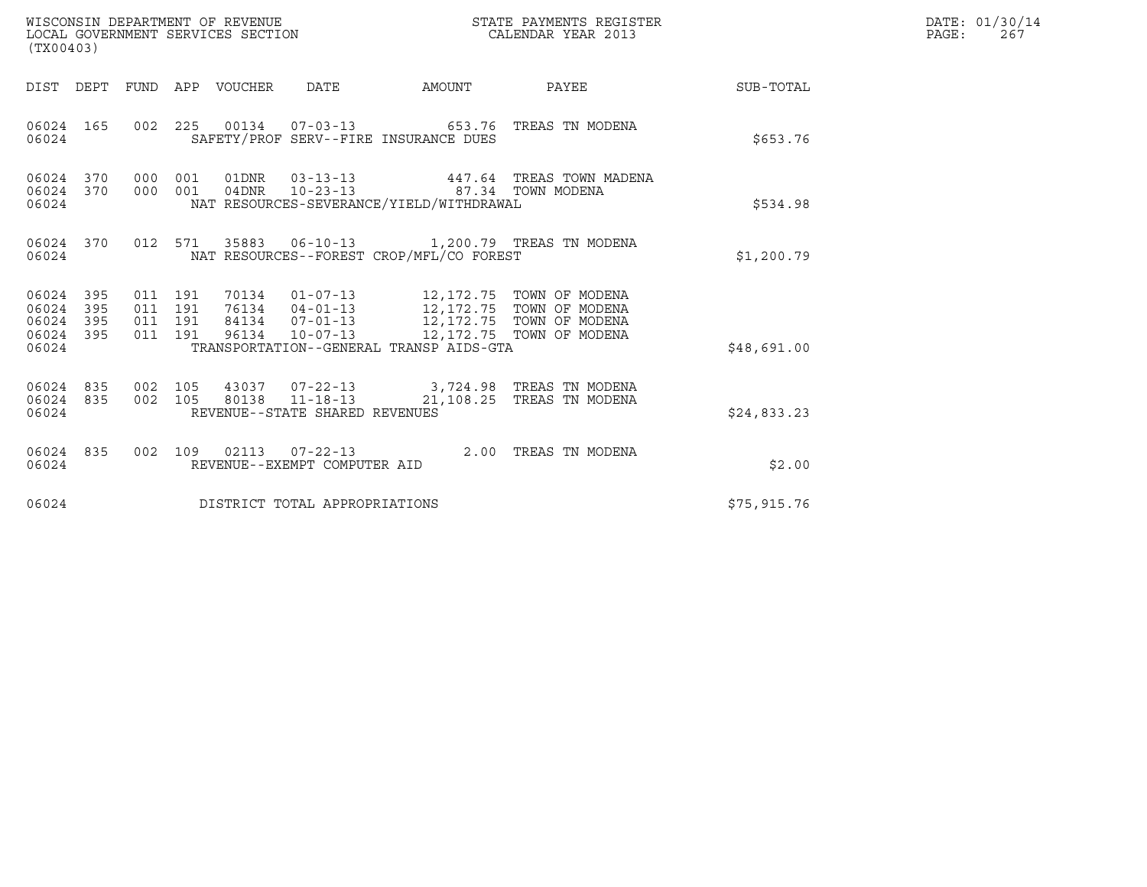| (TX00403)                                         |            |                                          | WISCONSIN DEPARTMENT OF REVENUE<br>LOCAL GOVERNMENT SERVICES SECTION |                                |                                                                                                                                                                                                                       | STATE PAYMENTS REGISTER<br>CALENDAR YEAR 2013                                               |              | DATE: 01/30/14<br>$\mathtt{PAGE}$ :<br>267 |
|---------------------------------------------------|------------|------------------------------------------|----------------------------------------------------------------------|--------------------------------|-----------------------------------------------------------------------------------------------------------------------------------------------------------------------------------------------------------------------|---------------------------------------------------------------------------------------------|--------------|--------------------------------------------|
|                                                   |            |                                          | DIST DEPT FUND APP VOUCHER DATE                                      |                                |                                                                                                                                                                                                                       | AMOUNT PAYEE SUB-TOTAL                                                                      |              |                                            |
| 06024 165<br>06024                                |            |                                          |                                                                      |                                | SAFETY/PROF SERV--FIRE INSURANCE DUES                                                                                                                                                                                 | 002 225 00134 07-03-13 653.76 TREAS TN MODENA                                               | \$653.76     |                                            |
| 06024 370 000 001<br>06024 370<br>06024           |            | 000 001                                  |                                                                      |                                | 04DNR  10-23-13  87.34  TOWN MODENA<br>NAT RESOURCES-SEVERANCE/YIELD/WITHDRAWAL                                                                                                                                       | 01DNR  03-13-13  447.64 TREAS TOWN MADENA                                                   | \$534.98     |                                            |
| 06024 370<br>06024                                |            |                                          |                                                                      |                                | NAT RESOURCES--FOREST CROP/MFL/CO FOREST                                                                                                                                                                              | 012 571 35883 06-10-13 1,200.79 TREAS TN MODENA                                             | \$1,200.79   |                                            |
| 06024 395<br>06024<br>06024<br>06024 395<br>06024 | 395<br>395 | 011 191<br>011 191<br>011 191<br>011 191 |                                                                      |                                | 70134  01-07-13  12,172.75  TOWN OF MODENA<br>76134 04-01-13<br>84134 07-01-13<br>96134 10-07-13<br>12,172.75 TOWN OF MODENA<br>96134 10-07-13<br>12,172.75 TOWN OF MODENA<br>TRANSPORTATION--GENERAL TRANSP AIDS-GTA |                                                                                             | \$48,691.00  |                                            |
| 06024 835<br>06024 835<br>06024                   |            | 002 105                                  |                                                                      | REVENUE--STATE SHARED REVENUES |                                                                                                                                                                                                                       | 43037 07-22-13 3,724.98 TREAS TN MODENA<br>002 105 80138 11-18-13 21,108.25 TREAS TN MODENA | \$24,833.23  |                                            |
| 06024 835<br>06024                                |            | 002 109                                  |                                                                      | REVENUE--EXEMPT COMPUTER AID   |                                                                                                                                                                                                                       | 02113  07-22-13  2.00 TREAS TN MODENA                                                       | \$2.00       |                                            |
| 06024                                             |            |                                          |                                                                      | DISTRICT TOTAL APPROPRIATIONS  |                                                                                                                                                                                                                       |                                                                                             | \$75, 915.76 |                                            |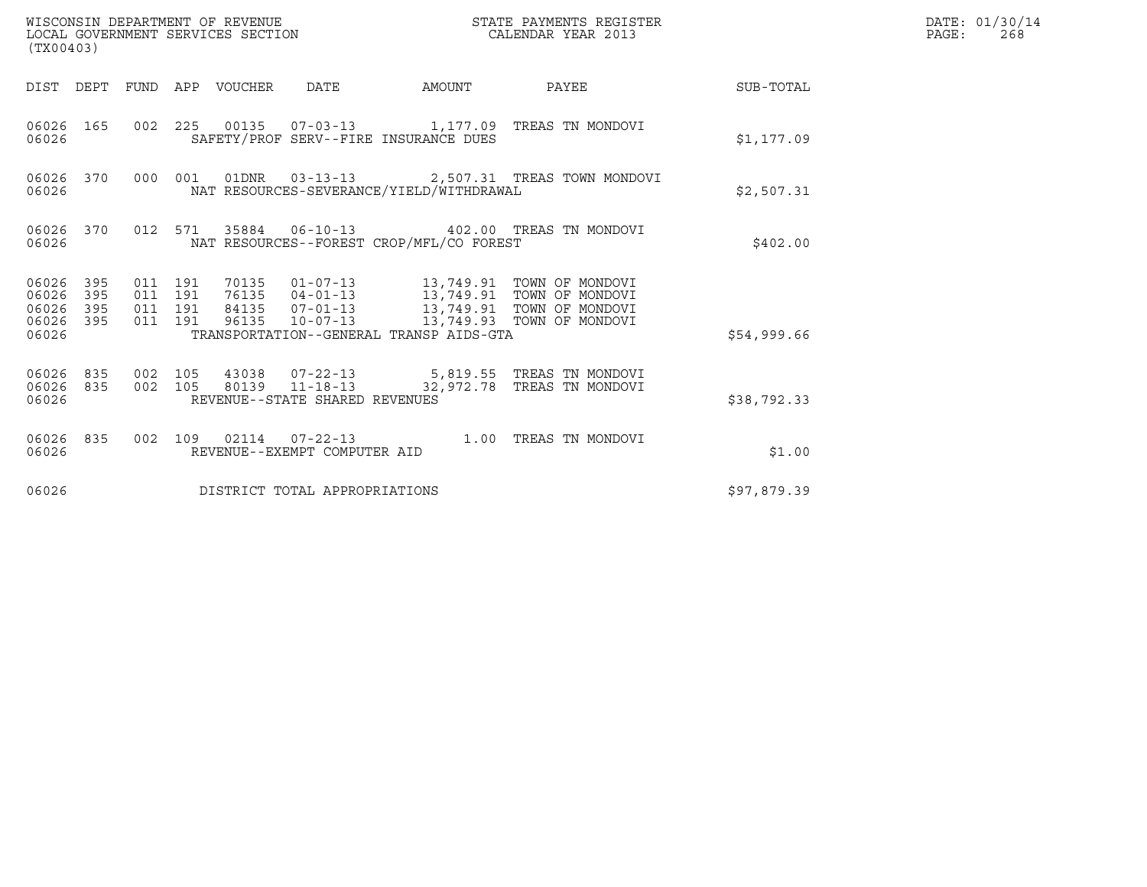| (TX00403)                                                    | WISCONSIN DEPARTMENT OF REVENUE<br>LOCAL GOVERNMENT SERVICES SECTION                                                                                                                                                                                                             | STATE PAYMENTS REGISTER<br>CALENDAR YEAR 2013 | DATE: 01/30/14<br>$\mathtt{PAGE}$ :<br>268 |
|--------------------------------------------------------------|----------------------------------------------------------------------------------------------------------------------------------------------------------------------------------------------------------------------------------------------------------------------------------|-----------------------------------------------|--------------------------------------------|
|                                                              | DIST DEPT FUND APP VOUCHER DATE                                                                                                                                                                                                                                                  | AMOUNT PAYEE SUB-TOTAL                        |                                            |
| 06026 165<br>06026                                           | 002 225 00135 07-03-13 1,177.09 TREAS TN MONDOVI<br>SAFETY/PROF SERV--FIRE INSURANCE DUES                                                                                                                                                                                        | \$1,177.09                                    |                                            |
| 06026 370<br>06026                                           | 000 001 01DNR  03-13-13  2,507.31 TREAS TOWN MONDOVI<br>NAT RESOURCES-SEVERANCE/YIELD/WITHDRAWAL                                                                                                                                                                                 | \$2,507.31                                    |                                            |
| 06026                                                        | 06026 370 012 571 35884 06-10-13 402.00 TREAS TN MONDOVI<br>NAT RESOURCES--FOREST CROP/MFL/CO FOREST                                                                                                                                                                             | \$402.00                                      |                                            |
| 06026 395<br>06026<br>395<br>06026 395<br>06026 395<br>06026 | 70135  01-07-13  13,749.91  TOWN OF MONDOVI<br>76135  04-01-13  13,749.91  TOWN OF MONDOVI<br>84135  07-01-13  13,749.91  TOWN OF MONDOVI<br>011 191<br>011 191<br>011 191<br>96135  10-07-13  13, 749.93  TOWN OF MONDOVI<br>011 191<br>TRANSPORTATION--GENERAL TRANSP AIDS-GTA | \$54,999.66                                   |                                            |
| 06026                                                        | 06026 835 002 105 43038 07-22-13 5,819.55 TREAS TN MONDOVI<br>06026 835 002 105 80139 11-18-13 32,972.78 TREAS TN MONDOVI<br>REVENUE--STATE SHARED REVENUES                                                                                                                      | \$38,792.33                                   |                                            |
| 06026                                                        | 06026 835 002 109 02114 07-22-13 1.00 TREAS TN MONDOVI<br>REVENUE--EXEMPT COMPUTER AID                                                                                                                                                                                           | \$1.00                                        |                                            |
| 06026                                                        | DISTRICT TOTAL APPROPRIATIONS                                                                                                                                                                                                                                                    | \$97,879.39                                   |                                            |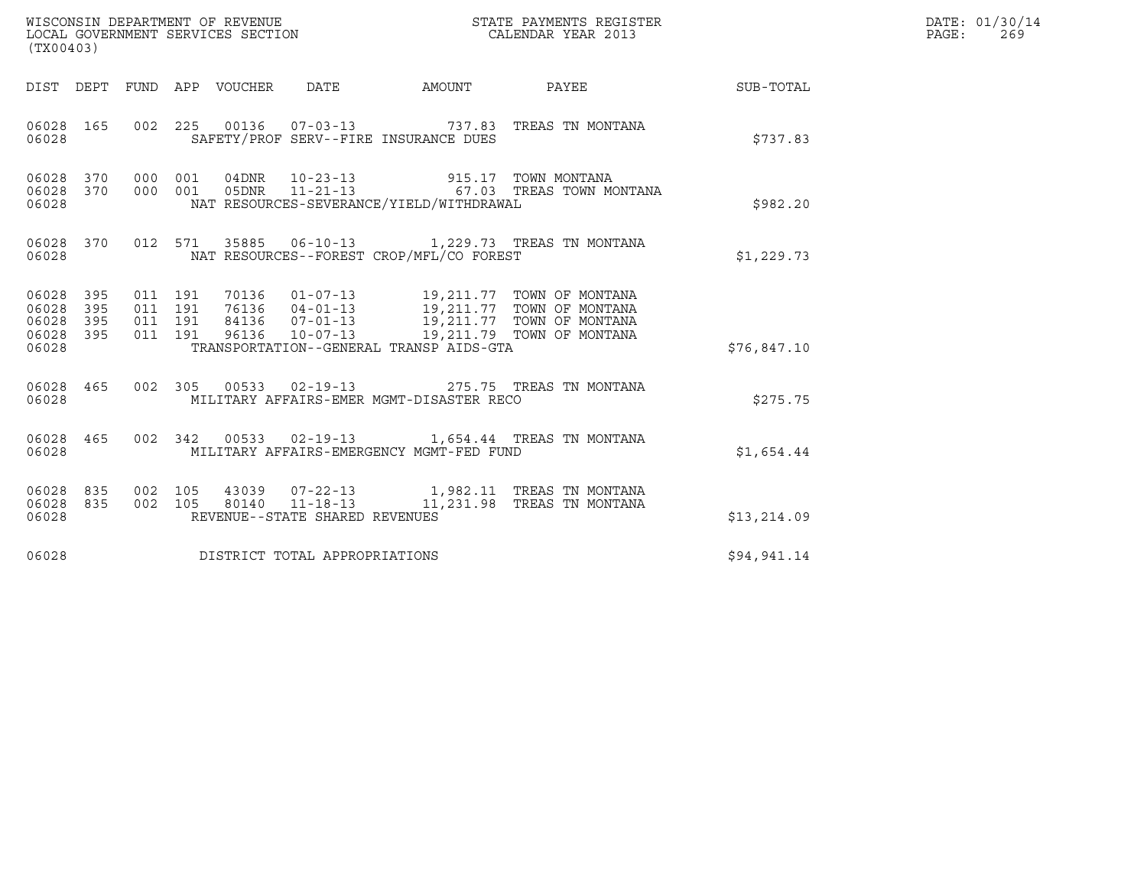| (TX00403)                                                       |                                                                                                                                                                                                                                                                     |              | DATE: 01/30/14<br>PAGE: 269 |
|-----------------------------------------------------------------|---------------------------------------------------------------------------------------------------------------------------------------------------------------------------------------------------------------------------------------------------------------------|--------------|-----------------------------|
|                                                                 | DIST DEPT FUND APP VOUCHER DATE AMOUNT PAYEE THE SUB-TOTAL                                                                                                                                                                                                          |              |                             |
| 06028 165<br>06028                                              | 002 225 00136 07-03-13 737.83 TREAS TN MONTANA<br>SAFETY/PROF SERV--FIRE INSURANCE DUES                                                                                                                                                                             | \$737.83     |                             |
| 06028 370<br>06028 370<br>06028                                 | 000 001 04DNR 10-23-13 915.17 TOWN MONTANA<br>000 001 05DNR 11-21-13 67.03 TREAS TOWN MONTANA<br>NAT RESOURCES-SEVERANCE/YIELD/WITHDRAWAL                                                                                                                           | \$982.20     |                             |
| 06028 370<br>06028                                              | 012 571 35885 06-10-13 1,229.73 TREAS TN MONTANA<br>NAT RESOURCES--FOREST CROP/MFL/CO FOREST                                                                                                                                                                        | \$1,229.73   |                             |
| 06028 395<br>06028<br>395<br>06028<br>395<br>06028 395<br>06028 | 70136 01-07-13 19,211.77 TOWN OF MONTANA<br>76136 04-01-13 19,211.77 TOWN OF MONTANA<br>84136 07-01-13 19,211.77 TOWN OF MONTANA<br>96136 10-07-13 19,211.79 TOWN OF MONTANA<br>011 191<br>011 191<br>011 191<br>011 191<br>TRANSPORTATION--GENERAL TRANSP AIDS-GTA | \$76,847.10  |                             |
| 06028 465<br>06028                                              | 002 305<br>MILITARY AFFAIRS-EMER MGMT-DISASTER RECO                                                                                                                                                                                                                 | \$275.75     |                             |
| 06028 465<br>06028                                              | 002 342 00533 02-19-13 1,654.44 TREAS TN MONTANA<br>MILITARY AFFAIRS-EMERGENCY MGMT-FED FUND                                                                                                                                                                        | \$1,654.44   |                             |
| 06028 835<br>06028 835<br>06028                                 | 002 105<br>43039  07-22-13   1,982.11   TREAS TN MONTANA<br>002 105 80140 11-18-13 11, 231.98 TREAS TN MONTANA<br>REVENUE--STATE SHARED REVENUES                                                                                                                    | \$13, 214.09 |                             |
| 06028                                                           | DISTRICT TOTAL APPROPRIATIONS                                                                                                                                                                                                                                       | \$94,941.14  |                             |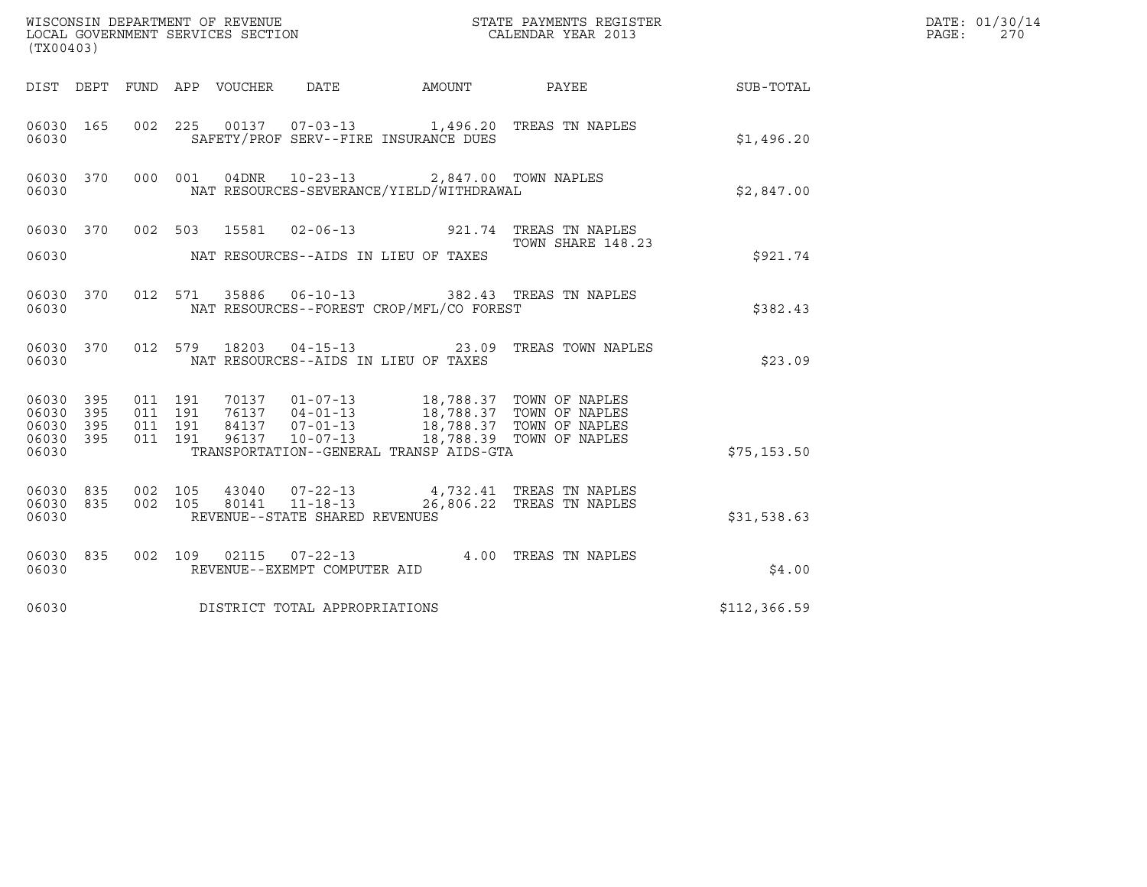| ${\tt WISCOONSIM} \begin{tabular}{lcccc} DEPARTMENT OF REVENUE & & & & & & \begin{tabular}{l} \bf STATE \end{tabular} \end{tabular} \begin{tabular}{lcccc} \bf STATE \end{tabular} \end{tabular} \begin{tabular}{lcccc} \bf STATE \end{tabular} \end{tabular} \begin{tabular}{lcccc} \bf STATE \end{tabular} \end{tabular} \begin{tabular}{lcccc} \bf STATE \end{tabular} \end{tabular} \begin{tabular}{lcccc} \bf STATE \end{tabular} \end{tabular} \begin{tabular}{lcccc} \bf STATE \end{tabular} \end{tabular} \begin{tabular}{lcccc} \bf STATE \end{$<br>(TX00403) |                   |                                          |         |                                 |                                |                                                                                                                                                                                                                                                                                      |                                                                                                       | DATE: 01/30/14<br>PAGE:<br>270 |  |
|------------------------------------------------------------------------------------------------------------------------------------------------------------------------------------------------------------------------------------------------------------------------------------------------------------------------------------------------------------------------------------------------------------------------------------------------------------------------------------------------------------------------------------------------------------------------|-------------------|------------------------------------------|---------|---------------------------------|--------------------------------|--------------------------------------------------------------------------------------------------------------------------------------------------------------------------------------------------------------------------------------------------------------------------------------|-------------------------------------------------------------------------------------------------------|--------------------------------|--|
|                                                                                                                                                                                                                                                                                                                                                                                                                                                                                                                                                                        |                   |                                          |         | DIST DEPT FUND APP VOUCHER DATE |                                |                                                                                                                                                                                                                                                                                      | AMOUNT PAYEE                                                                                          | SUB-TOTAL                      |  |
| 06030 165<br>06030                                                                                                                                                                                                                                                                                                                                                                                                                                                                                                                                                     |                   |                                          |         |                                 |                                | SAFETY/PROF SERV--FIRE INSURANCE DUES                                                                                                                                                                                                                                                | 002 225 00137 07-03-13 1,496.20 TREAS TN NAPLES                                                       | \$1,496.20                     |  |
| 06030 370<br>06030                                                                                                                                                                                                                                                                                                                                                                                                                                                                                                                                                     |                   |                                          | 000 001 | 04DNR                           |                                | 10-23-13 2,847.00 TOWN NAPLES<br>NAT RESOURCES-SEVERANCE/YIELD/WITHDRAWAL                                                                                                                                                                                                            |                                                                                                       | \$2,847.00                     |  |
|                                                                                                                                                                                                                                                                                                                                                                                                                                                                                                                                                                        |                   |                                          |         |                                 |                                |                                                                                                                                                                                                                                                                                      | 06030 370 002 503 15581 02-06-13 921.74 TREAS TN NAPLES<br>2.1.74 TOWN SHARE 148<br>TOWN SHARE 148.23 |                                |  |
| 06030                                                                                                                                                                                                                                                                                                                                                                                                                                                                                                                                                                  |                   |                                          |         |                                 |                                | NAT RESOURCES--AIDS IN LIEU OF TAXES                                                                                                                                                                                                                                                 |                                                                                                       | \$921.74                       |  |
| 06030 370<br>06030                                                                                                                                                                                                                                                                                                                                                                                                                                                                                                                                                     |                   |                                          |         |                                 |                                | NAT RESOURCES--FOREST CROP/MFL/CO FOREST                                                                                                                                                                                                                                             | 012 571 35886 06-10-13 382.43 TREAS TN NAPLES                                                         | \$382.43                       |  |
| 06030 370<br>06030                                                                                                                                                                                                                                                                                                                                                                                                                                                                                                                                                     |                   |                                          | 012 579 |                                 |                                | NAT RESOURCES--AIDS IN LIEU OF TAXES                                                                                                                                                                                                                                                 | 18203  04-15-13  23.09  TREAS TOWN NAPLES                                                             | \$23.09                        |  |
| 06030 395<br>06030<br>06030<br>06030<br>06030                                                                                                                                                                                                                                                                                                                                                                                                                                                                                                                          | 395<br>395<br>395 | 011 191<br>011 191<br>011 191<br>011 191 |         |                                 |                                | $\begin{tabular}{cccc} 70137 & 01-07-13 & 18,788.37 & TOWN OF NAPLES \\ 76137 & 04-01-13 & 18,788.37 & TOWN OF NAPLES \\ 84137 & 07-01-13 & 18,788.37 & TOWN OF NAPLES \\ 96137 & 10-07-13 & 18,788.39 & TOWN OF NAPLES \\ \end{tabular}$<br>TRANSPORTATION--GENERAL TRANSP AIDS-GTA |                                                                                                       | \$75, 153.50                   |  |
| 06030 835<br>06030 835<br>06030                                                                                                                                                                                                                                                                                                                                                                                                                                                                                                                                        |                   |                                          |         |                                 | REVENUE--STATE SHARED REVENUES |                                                                                                                                                                                                                                                                                      | 002 105 43040 07-22-13 4,732.41 TREAS TN NAPLES<br>002 105 80141 11-18-13 26,806.22 TREAS TN NAPLES   | \$31,538.63                    |  |
| 06030 835<br>06030                                                                                                                                                                                                                                                                                                                                                                                                                                                                                                                                                     |                   |                                          |         |                                 | REVENUE--EXEMPT COMPUTER AID   |                                                                                                                                                                                                                                                                                      | 002 109 02115 07-22-13 4.00 TREAS TN NAPLES                                                           | \$4.00                         |  |
| 06030                                                                                                                                                                                                                                                                                                                                                                                                                                                                                                                                                                  |                   |                                          |         |                                 | DISTRICT TOTAL APPROPRIATIONS  |                                                                                                                                                                                                                                                                                      |                                                                                                       | \$112,366.59                   |  |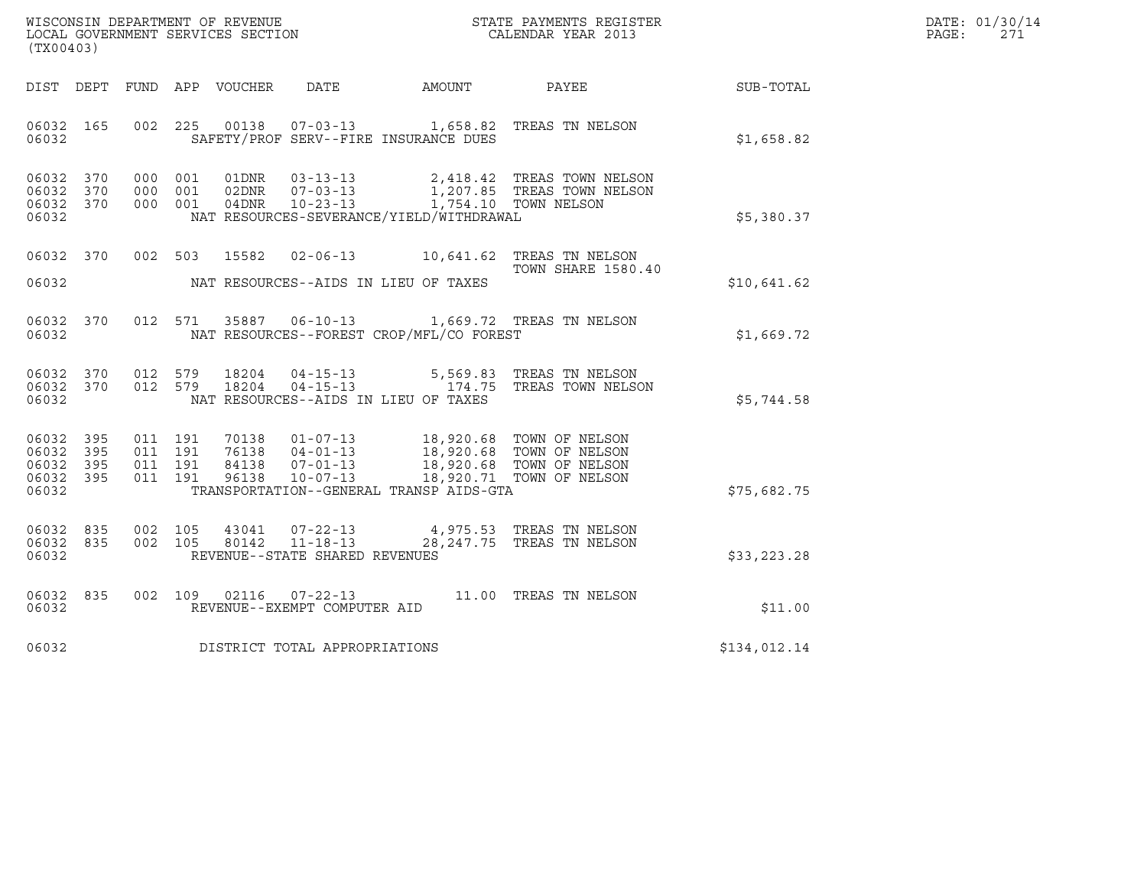| WISCONSIN DEPARTMENT OF REVENUE<br>LOCAL GOVERNMENT SERVICES SECTION | STATE PAYMENTS REGISTER<br>CALENDAR YEAR 2013 | DATE: 01/30/14<br>PAGE:<br>271 |
|----------------------------------------------------------------------|-----------------------------------------------|--------------------------------|

| (TX00403)                                                 | WISCONSIN DEPARTMENT OF REVENUE<br>LOCAL GOVERNMENT SERVICES SECTION<br>(TX00403)                                                                                                                                                                   |                           |              | DATE: 01/30/14<br>$\mathtt{PAGE:}$<br>271 |
|-----------------------------------------------------------|-----------------------------------------------------------------------------------------------------------------------------------------------------------------------------------------------------------------------------------------------------|---------------------------|--------------|-------------------------------------------|
|                                                           | DIST DEPT FUND APP VOUCHER DATE AMOUNT PAYEE                                                                                                                                                                                                        |                           | SUB-TOTAL    |                                           |
| 06032                                                     | 06032 165 002 225 00138 07-03-13 1,658.82 TREAS TN NELSON<br>SAFETY/PROF SERV--FIRE INSURANCE DUES                                                                                                                                                  |                           | \$1,658.82   |                                           |
| 06032 370<br>06032 370<br>06032 370<br>06032              | 000 001 01DNR 03-13-13 2,418.42 TREAS TOWN NELSON<br>000 001 02DNR 07-03-13 1,207.85 TREAS TOWN NELSON<br>000 001 04DNR 10-23-13 1,754.10 TOWN NELSON<br>NAT RESOURCES-SEVERANCE/YIELD/WITHDRAWAL                                                   |                           | \$5,380.37   |                                           |
|                                                           | 06032 370 002 503 15582 02-06-13 10,641.62 TREAS TN NELSON<br>06032 NAT RESOURCES--AIDS IN LIEU OF TAXES                                                                                                                                            | <b>TOWN SHARE 1580.40</b> | \$10,641.62  |                                           |
| 06032                                                     | 06032 370 012 571 35887 06-10-13 1,669.72 TREAS TN NELSON<br>NAT RESOURCES--FOREST CROP/MFL/CO FOREST                                                                                                                                               |                           | \$1,669.72   |                                           |
| 06032 370<br>06032 370<br>06032                           | 012 579 18204 04-15-13 5,569.83 TREAS TN NELSON<br>012 579 18204 04-15-13 174.75 TREAS TOWN NELSON<br>NAT RESOURCES--AIDS IN LIEU OF TAXES                                                                                                          |                           | \$5,744.58   |                                           |
| 06032 395<br>06032 395<br>06032 395<br>06032 395<br>06032 | 011 191 70138 01-07-13 18,920.68 TOWN OF NELSON<br>011 191 76138 04-01-13 18,920.68 TOWN OF NELSON<br>011 191 84138 07-01-13 18,920.68 TOWN OF NELSON<br>011 191 96138 10-07-13 18,920.71 TOWN OF NELSON<br>TRANSPORTATION--GENERAL TRANSP AIDS-GTA |                           | \$75,682.75  |                                           |
| 06032 835<br>06032 835<br>06032                           | 002   105   43041   07-22-13   4,975.53   TREAS TN NELSON   002   105   80142   11-18-13   28,247.75   TREAS TN NELSON<br>REVENUE--STATE SHARED REVENUES                                                                                            |                           | \$33,223.28  |                                           |
| 06032                                                     | 06032 835 002 109 02116 07-22-13 11.00 TREAS TN NELSON<br>REVENUE--EXEMPT COMPUTER AID                                                                                                                                                              |                           | \$11.00      |                                           |
|                                                           | 06032 DISTRICT TOTAL APPROPRIATIONS                                                                                                                                                                                                                 |                           | \$134,012.14 |                                           |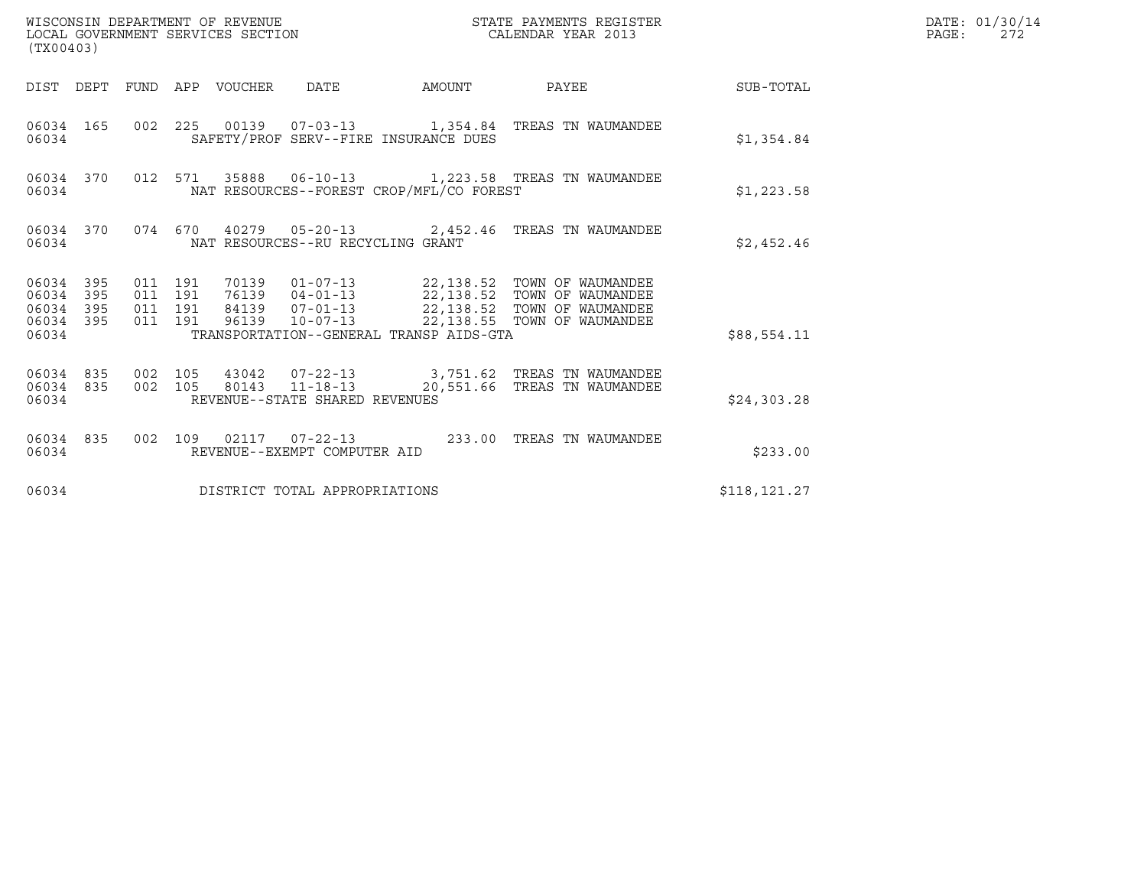| (TX00403)                                                 |                                          | WISCONSIN DEPARTMENT OF REVENUE<br>LOCAL GOVERNMENT SERVICES SECTION |                                                          |                                          | STATE PAYMENTS REGISTER<br>CALENDAR YEAR 2013                                                                                                                                                          |                  | DATE: 01/30/14<br>PAGE:<br>272 |
|-----------------------------------------------------------|------------------------------------------|----------------------------------------------------------------------|----------------------------------------------------------|------------------------------------------|--------------------------------------------------------------------------------------------------------------------------------------------------------------------------------------------------------|------------------|--------------------------------|
|                                                           |                                          | DIST DEPT FUND APP VOUCHER DATE                                      |                                                          | AMOUNT PAYEE                             |                                                                                                                                                                                                        | <b>SUB-TOTAL</b> |                                |
| 06034 165<br>06034                                        |                                          |                                                                      |                                                          | SAFETY/PROF SERV--FIRE INSURANCE DUES    | 002  225  00139  07-03-13  1,354.84  TREAS TN WAUMANDEE                                                                                                                                                | \$1,354.84       |                                |
| 06034 370<br>06034                                        |                                          |                                                                      |                                                          | NAT RESOURCES--FOREST CROP/MFL/CO FOREST | 012 571 35888 06-10-13 1,223.58 TREAS TN WAUMANDEE                                                                                                                                                     | \$1,223.58       |                                |
| 06034 370<br>06034                                        |                                          |                                                                      | NAT RESOURCES--RU RECYCLING GRANT                        |                                          | 074 670 40279 05-20-13 2,452.46 TREAS TN WAUMANDEE                                                                                                                                                     | \$2,452.46       |                                |
| 06034 395<br>06034 395<br>06034 395<br>06034 395<br>06034 | 011 191<br>011 191<br>011 191<br>011 191 |                                                                      |                                                          | TRANSPORTATION--GENERAL TRANSP AIDS-GTA  | 70139   01-07-13   22,138.52   TOWN OF WAUMANDEE<br>76139   04-01-13   22,138.52   TOWN OF WAUMANDEE<br>84139  07-01-13  22,138.52  TOWN OF WAUMANDEE<br>96139  10-07-13  22,138.55  TOWN OF WAUMANDEE | \$88,554.11      |                                |
| 06034 835 002 105<br>06034 835<br>06034                   |                                          |                                                                      | 002 105 80143 11-18-13<br>REVENUE--STATE SHARED REVENUES |                                          | 43042  07-22-13  3,751.62  TREAS TN WAUMANDEE<br>20,551.66 TREAS TN WAUMANDEE                                                                                                                          | \$24,303.28      |                                |
| 06034 835<br>06034                                        |                                          |                                                                      | REVENUE--EXEMPT COMPUTER AID                             |                                          | 002 109 02117 07-22-13 233.00 TREAS TN WAUMANDEE                                                                                                                                                       | \$233.00         |                                |
| 06034                                                     |                                          |                                                                      | DISTRICT TOTAL APPROPRIATIONS                            |                                          |                                                                                                                                                                                                        | \$118,121.27     |                                |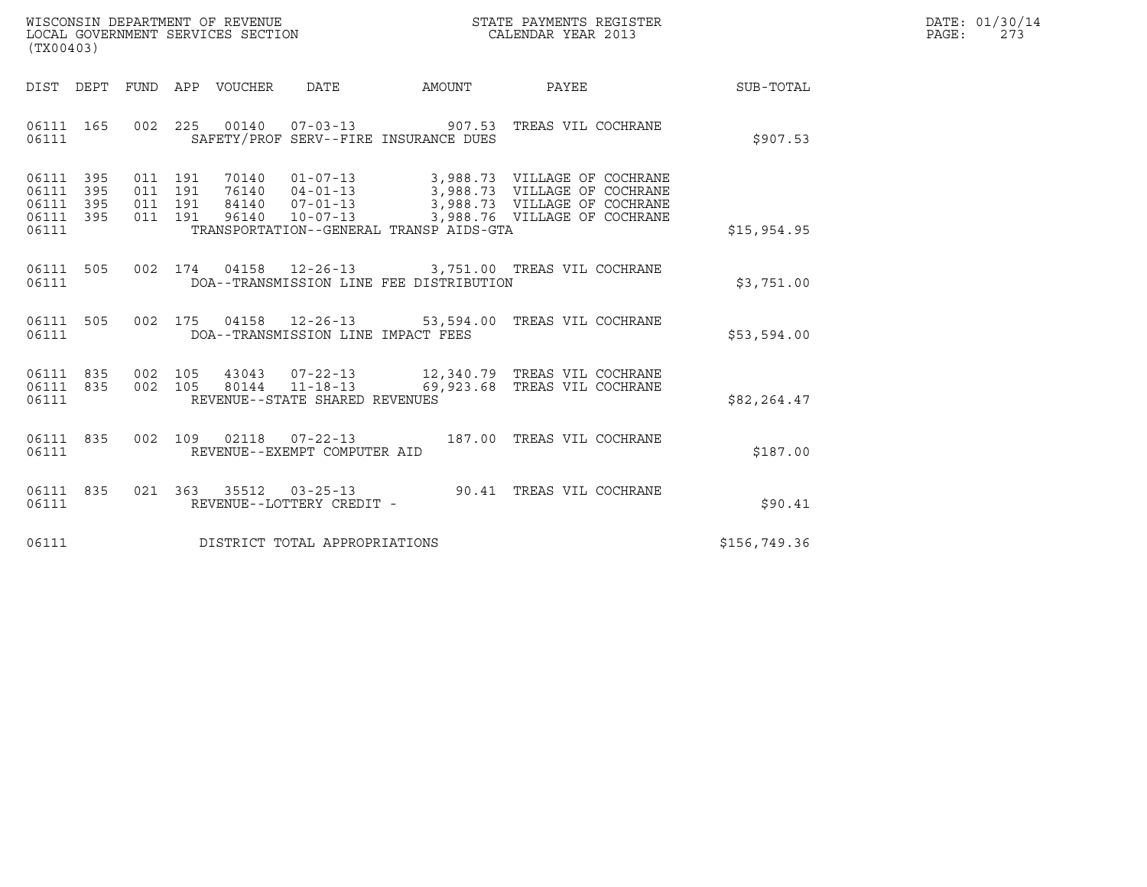| WISCONSIN DEPARTMENT OF REVENUE   | STATE PAYMENTS REGISTER | DATE: 01/30/14 |
|-----------------------------------|-------------------------|----------------|
| LOCAL GOVERNMENT SERVICES SECTION | CALENDAR YEAR 2013      | PAGE :         |

| (TX00403)                                 |                                 |                                      |                                                               |        |                                                                                                                                                                                                  |              |
|-------------------------------------------|---------------------------------|--------------------------------------|---------------------------------------------------------------|--------|--------------------------------------------------------------------------------------------------------------------------------------------------------------------------------------------------|--------------|
| DEPT<br>DIST                              |                                 | FUND APP VOUCHER DATE                |                                                               | AMOUNT | PAYEE                                                                                                                                                                                            | SUB-TOTAL    |
| 06111 165<br>06111                        |                                 | 002 225                              | SAFETY/PROF SERV--FIRE INSURANCE DUES                         |        | 00140  07-03-13  907.53  TREAS VIL COCHRANE                                                                                                                                                      | \$907.53     |
| 06111<br>06111<br>06111<br>06111<br>06111 | 395<br>395<br>395<br>395<br>011 | 011 191<br>011 191<br>011 191<br>191 | $96140$ $10-07-13$<br>TRANSPORTATION--GENERAL TRANSP AIDS-GTA |        | 70140  01-07-13  3,988.73  VILLAGE OF COCHRANE<br>76140  04-01-13  3,988.73  VILLAGE OF COCHRANE<br>3,988.73 VILLAGE OF COCHRANE<br>3,988.73 VILLAGE OF COCHRANE<br>3,988.76 VILLAGE OF COCHRANE | \$15,954.95  |
| 06111<br>06111                            | 505                             |                                      | DOA--TRANSMISSION LINE FEE DISTRIBUTION                       |        | 002 174 04158 12-26-13 3,751.00 TREAS VIL COCHRANE                                                                                                                                               | \$3,751.00   |
| 06111 505<br>06111                        |                                 |                                      | DOA--TRANSMISSION LINE IMPACT FEES                            |        | 002 175 04158 12-26-13 53,594.00 TREAS VIL COCHRANE                                                                                                                                              | \$53,594.00  |
| 06111 835<br>06111<br>06111               | 835                             |                                      | REVENUE--STATE SHARED REVENUES                                |        | 002 105 43043 07-22-13 12,340.79 TREAS VIL COCHRANE<br>002 105 80144 11-18-13 69,923.68 TREAS VIL COCHRANE                                                                                       | \$82,264.47  |
| 06111<br>06111                            | 835<br>002                      | 109<br>02118                         | REVENUE--EXEMPT COMPUTER AID                                  |        | 07-22-13 187.00 TREAS VIL COCHRANE                                                                                                                                                               | \$187.00     |
| 06111<br>06111                            | 835                             |                                      | 021 363 35512 03-25-13<br>REVENUE--LOTTERY CREDIT -           | 90.41  | TREAS VIL COCHRANE                                                                                                                                                                               | \$90.41      |
| 06111                                     |                                 |                                      | DISTRICT TOTAL APPROPRIATIONS                                 |        |                                                                                                                                                                                                  | \$156,749.36 |
|                                           |                                 |                                      |                                                               |        |                                                                                                                                                                                                  |              |

(TX00403)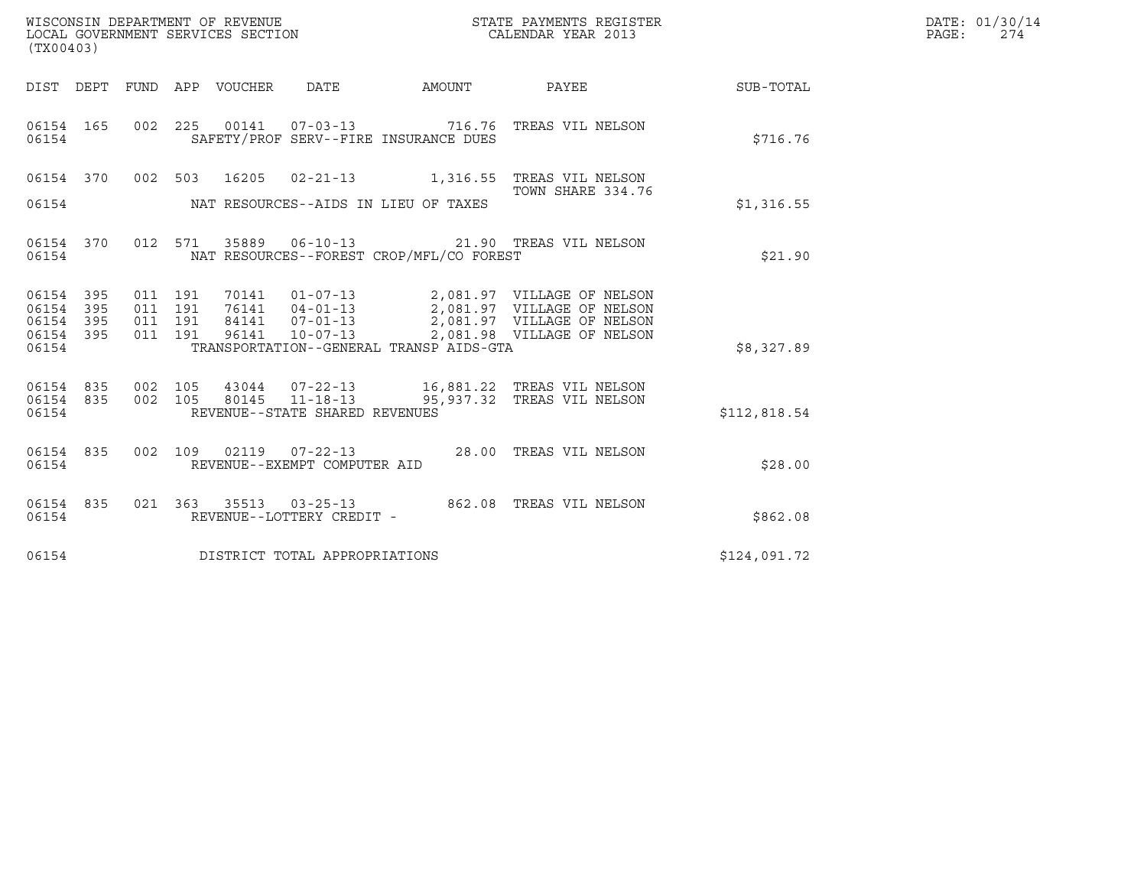| (TX00403)                                                                                                                                                                                                                                                                                                                                    |  |                   |              | DATE: 01/30/14<br>PAGE: 274 |
|----------------------------------------------------------------------------------------------------------------------------------------------------------------------------------------------------------------------------------------------------------------------------------------------------------------------------------------------|--|-------------------|--------------|-----------------------------|
| DIST DEPT FUND APP VOUCHER DATE AMOUNT PAYEE PAYEE SUB-TOTAL                                                                                                                                                                                                                                                                                 |  |                   |              |                             |
| 002  225  00141  07-03-13  716.76  TREAS VIL NELSON<br>06154 165<br>SAFETY/PROF SERV--FIRE INSURANCE DUES<br>06154                                                                                                                                                                                                                           |  |                   | \$716.76     |                             |
| 06154 370 002 503 16205 02-21-13 1,316.55 TREAS VIL NELSON                                                                                                                                                                                                                                                                                   |  |                   |              |                             |
|                                                                                                                                                                                                                                                                                                                                              |  | TOWN SHARE 334.76 | \$1,316.55   |                             |
| 06154 370 012 571 35889 06-10-13 21.90 TREAS VIL NELSON<br>NAT RESOURCES--FOREST CROP/MFL/CO FOREST<br>06154                                                                                                                                                                                                                                 |  |                   | \$21.90      |                             |
| 70141  01-07-13  2,081.97 VILLAGE OF NELSON<br>76141  04-01-13  2,081.97 VILLAGE OF NELSON<br>84141  07-01-13  2,081.97 VILLAGE OF NELSON<br>96141  10-07-13  2,081.98 VILLAGE OF NELSON<br>06154 395<br>011 191<br>011 191<br>06154 395<br>06154 395<br>011 191<br>06154 395<br>011 191<br>TRANSPORTATION--GENERAL TRANSP AIDS-GTA<br>06154 |  |                   | \$8,327.89   |                             |
|                                                                                                                                                                                                                                                                                                                                              |  |                   |              |                             |
| 06154 835<br>002 105<br>43044  07-22-13   16,881.22   TREAS VIL NELSON<br>002 105<br>80145  11-18-13  95,937.32  TREAS VIL NELSON<br>06154 835<br>REVENUE--STATE SHARED REVENUES<br>06154                                                                                                                                                    |  |                   | \$112,818.54 |                             |
| 002 109 02119 07-22-13 28.00 TREAS VIL NELSON<br>06154 835<br>REVENUE--EXEMPT COMPUTER AID<br>06154                                                                                                                                                                                                                                          |  |                   | \$28.00      |                             |
| 021 363 35513 03-25-13 862.08 TREAS VIL NELSON<br>06154 835<br>REVENUE--LOTTERY CREDIT -<br>06154                                                                                                                                                                                                                                            |  |                   | \$862.08     |                             |
| DISTRICT TOTAL APPROPRIATIONS<br>06154                                                                                                                                                                                                                                                                                                       |  |                   | \$124,091.72 |                             |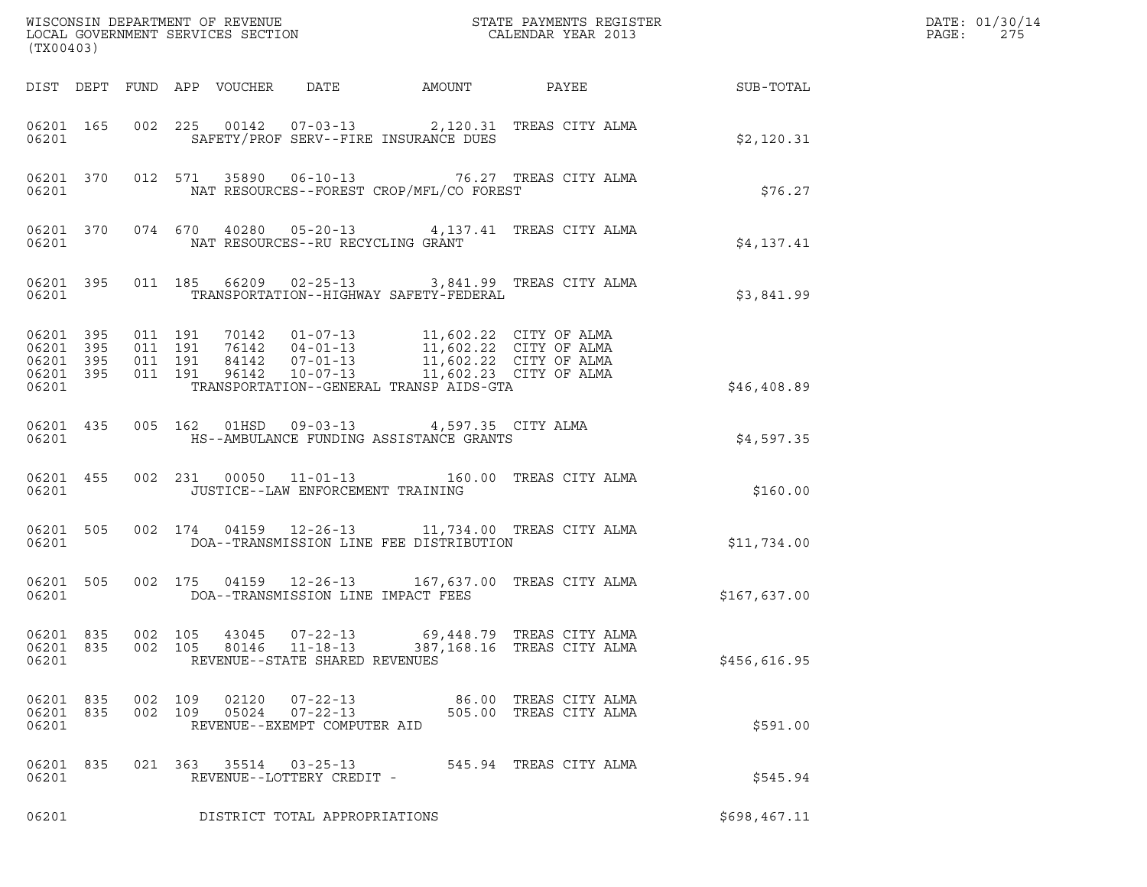| (TX00403)                                                                                                                                                                                                                                                                                                | R                                                                          | DATE: 01/30/14<br>$\mathtt{PAGE:}$<br>275 |
|----------------------------------------------------------------------------------------------------------------------------------------------------------------------------------------------------------------------------------------------------------------------------------------------------------|----------------------------------------------------------------------------|-------------------------------------------|
| DIST DEPT FUND APP VOUCHER DATE AMOUNT PAYEE THE SUB-TOTAL                                                                                                                                                                                                                                               |                                                                            |                                           |
| 06201 165 002 225 00142 07-03-13 2,120.31 TREAS CITY ALMA<br>SAFETY/PROF SERV--FIRE INSURANCE DUES<br>06201                                                                                                                                                                                              | \$2,120.31                                                                 |                                           |
| 06201 370 012 571 35890 06-10-13 76.27 TREAS CITY ALMA<br>NAT RESOURCES--FOREST CROP/MFL/CO FOREST<br>06201                                                                                                                                                                                              | \$76.27                                                                    |                                           |
| 06201 370 074 670 40280 05-20-13 4,137.41 TREAS CITY ALMA<br>06201 NAT RESOURCES--RU RECYCLING GRANT                                                                                                                                                                                                     | \$4,137.41                                                                 |                                           |
| 06201 395 011 185 66209 02-25-13 3,841.99 TREAS CITY ALMA<br>06201 TRANSPORTATION--HIGHWAY SAFETY-FEDERAL                                                                                                                                                                                                | \$3,841.99                                                                 |                                           |
| 011 191 70142 01-07-13 11,602.22 CITY OF ALMA<br>011 191 76142 04-01-13 11,602.22 CITY OF ALMA<br>011 191 84142 07-01-13 11,602.22 CITY OF ALMA<br>011 191 96142 10-07-13 11,602.23 CITY OF ALMA<br>06201 395<br>06201 395<br>06201 395<br>06201 395<br>TRANSPORTATION--GENERAL TRANSP AIDS-GTA<br>06201 | \$46,408.89                                                                |                                           |
| 06201 435 005 162 01HSD 09-03-13 4,597.35 CITY ALMA<br>06201 MS--AMBULANCE FUNDING ASSISTANCE GRANTS                                                                                                                                                                                                     | \$4,597.35                                                                 |                                           |
| 002 231 00050 11-01-13 160.00 TREAS CITY ALMA<br>06201 455<br>JUSTICE--LAW ENFORCEMENT TRAINING<br>06201 200                                                                                                                                                                                             | \$160.00                                                                   |                                           |
| 06201 505 002 174 04159 12-26-13 11,734.00 TREAS CITY ALMA<br>06201    QOA--TRANSMISSION LINE FEE DISTRIBUTION                                                                                                                                                                                           | \$11,734.00                                                                |                                           |
| 06201 505 002 175 04159 12-26-13 167,637.00 TREAS CITY ALMA                                                                                                                                                                                                                                              | \$167,637.00                                                               |                                           |
| 002 105<br>06201 835<br>43045<br>$07 - 22 - 13$<br>06201 835<br>002 105<br>80146<br>$11 - 18 - 13$<br>REVENUE--STATE SHARED REVENUES<br>06201                                                                                                                                                            | 69,448.79<br>TREAS CITY ALMA<br>387,168.16 TREAS CITY ALMA<br>\$456,616.95 |                                           |
| 06201 835<br>02120<br>$07 - 22 - 13$<br>002 109<br>06201 835<br>$07 - 22 - 13$<br>002 109<br>05024<br>06201<br>REVENUE--EXEMPT COMPUTER AID                                                                                                                                                              | 86.00 TREAS CITY ALMA<br>505.00 TREAS CITY ALMA<br>\$591.00                |                                           |
| 06201 835<br>021 363 35514 03-25-13<br>06201<br>REVENUE--LOTTERY CREDIT -                                                                                                                                                                                                                                | 545.94 TREAS CITY ALMA<br>\$545.94                                         |                                           |
| 06201<br>DISTRICT TOTAL APPROPRIATIONS                                                                                                                                                                                                                                                                   | \$698,467.11                                                               |                                           |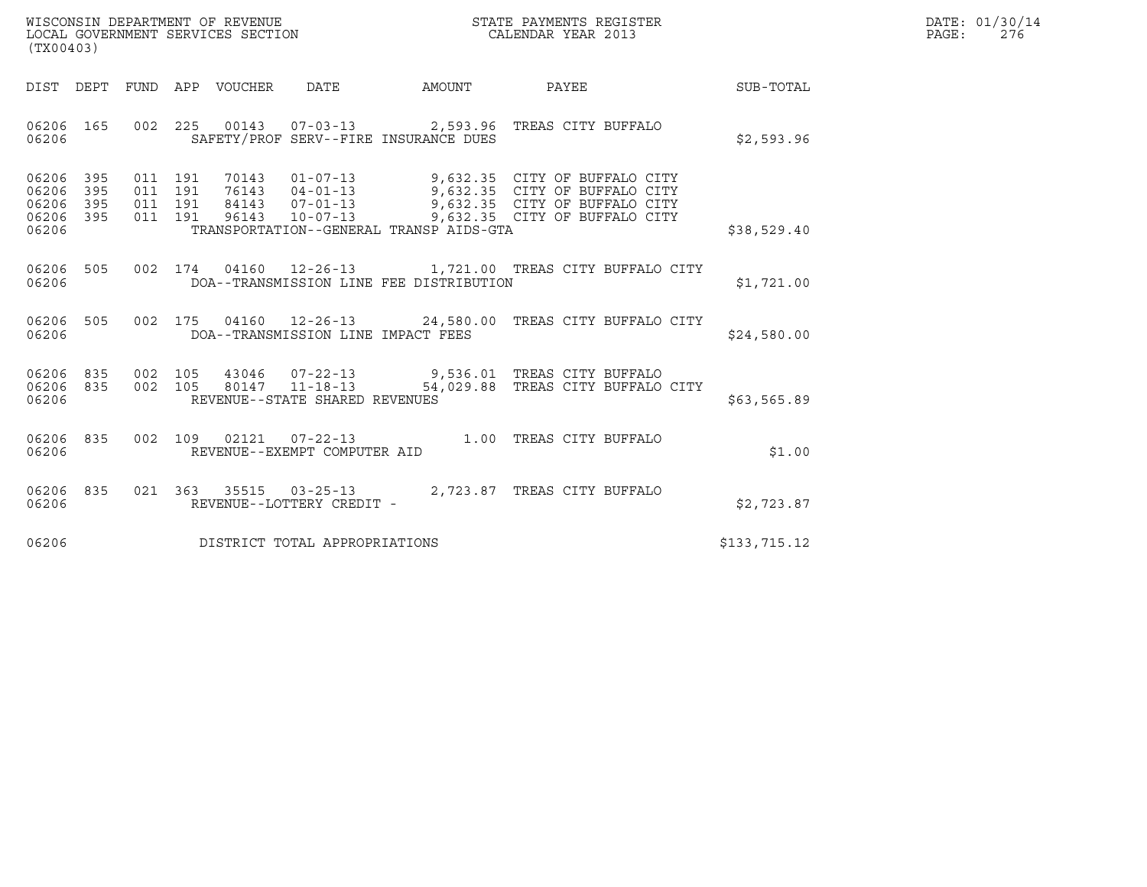| WISCONSIN DEPARTMENT OF REVENUE   | STATE PAYMENTS REGISTER | DATE: 01/30/14 |
|-----------------------------------|-------------------------|----------------|
| LOCAL GOVERNMENT SERVICES SECTION | CALENDAR YEAR 2013      | 276<br>PAGE :  |

| (TX00403)                                                                                         |                                                                                                                                                                                 |                       |                                                                                                                                  |              |
|---------------------------------------------------------------------------------------------------|---------------------------------------------------------------------------------------------------------------------------------------------------------------------------------|-----------------------|----------------------------------------------------------------------------------------------------------------------------------|--------------|
| DEPT<br>FUND<br>DIST                                                                              | APP<br>VOUCHER<br><b>DATE</b>                                                                                                                                                   | AMOUNT                | PAYEE                                                                                                                            | SUB-TOTAL    |
| 002<br>06206<br>165<br>06206                                                                      | 225<br>00143<br>$07 - 03 - 13$<br>SAFETY/PROF SERV--FIRE INSURANCE DUES                                                                                                         | 2,593.96              | TREAS CITY BUFFALO                                                                                                               | \$2,593.96   |
| 06206<br>395<br>011<br>06206<br>395<br>011<br>06206<br>395<br>011<br>06206<br>395<br>011<br>06206 | 191<br>70143<br>$01 - 07 - 13$<br>191<br>76143<br>$04 - 01 - 13$<br>191<br>84143<br>$07 - 01 - 13$<br>191<br>96143<br>$10 - 07 - 13$<br>TRANSPORTATION--GENERAL TRANSP AIDS-GTA |                       | 9,632.35 CITY OF BUFFALO CITY<br>9,632.35 CITY OF BUFFALO CITY<br>9,632.35 CITY OF BUFFALO CITY<br>9,632.35 CITY OF BUFFALO CITY | \$38,529.40  |
| 06206<br>505<br>002<br>06206                                                                      | 174<br>04160<br>$12 - 26 - 13$<br>DOA--TRANSMISSION LINE FEE DISTRIBUTION                                                                                                       |                       | 1,721.00 TREAS CITY BUFFALO CITY                                                                                                 | \$1,721.00   |
| 505<br>002<br>06206<br>06206                                                                      | 175<br>04160  12-26-13  24,580.00<br>DOA--TRANSMISSION LINE IMPACT FEES                                                                                                         |                       | TREAS CITY BUFFALO CITY                                                                                                          | \$24,580.00  |
| 002<br>06206<br>835<br>002<br>06206<br>835<br>06206                                               | 105<br>43046<br>$07 - 22 - 13$<br>105<br>$11 - 18 - 13$<br>80147<br>REVENUE--STATE SHARED REVENUES                                                                              | 9,536.01<br>54,029.88 | TREAS CITY BUFFALO<br>TREAS CITY BUFFALO CITY                                                                                    | \$63,565.89  |
| 06206<br>835<br>002<br>06206                                                                      | 109<br>02121<br>$07 - 22 - 13$<br>REVENUE--EXEMPT COMPUTER AID                                                                                                                  | 1.00                  | TREAS CITY BUFFALO                                                                                                               | \$1.00       |
| 06206<br>835<br>021<br>06206                                                                      | 363<br>35515<br>$03 - 25 - 13$<br>REVENUE--LOTTERY CREDIT -                                                                                                                     | 2,723.87              | TREAS CITY BUFFALO                                                                                                               | \$2,723.87   |
| 06206                                                                                             | DISTRICT TOTAL APPROPRIATIONS                                                                                                                                                   |                       |                                                                                                                                  | \$133,715.12 |

(TX00403)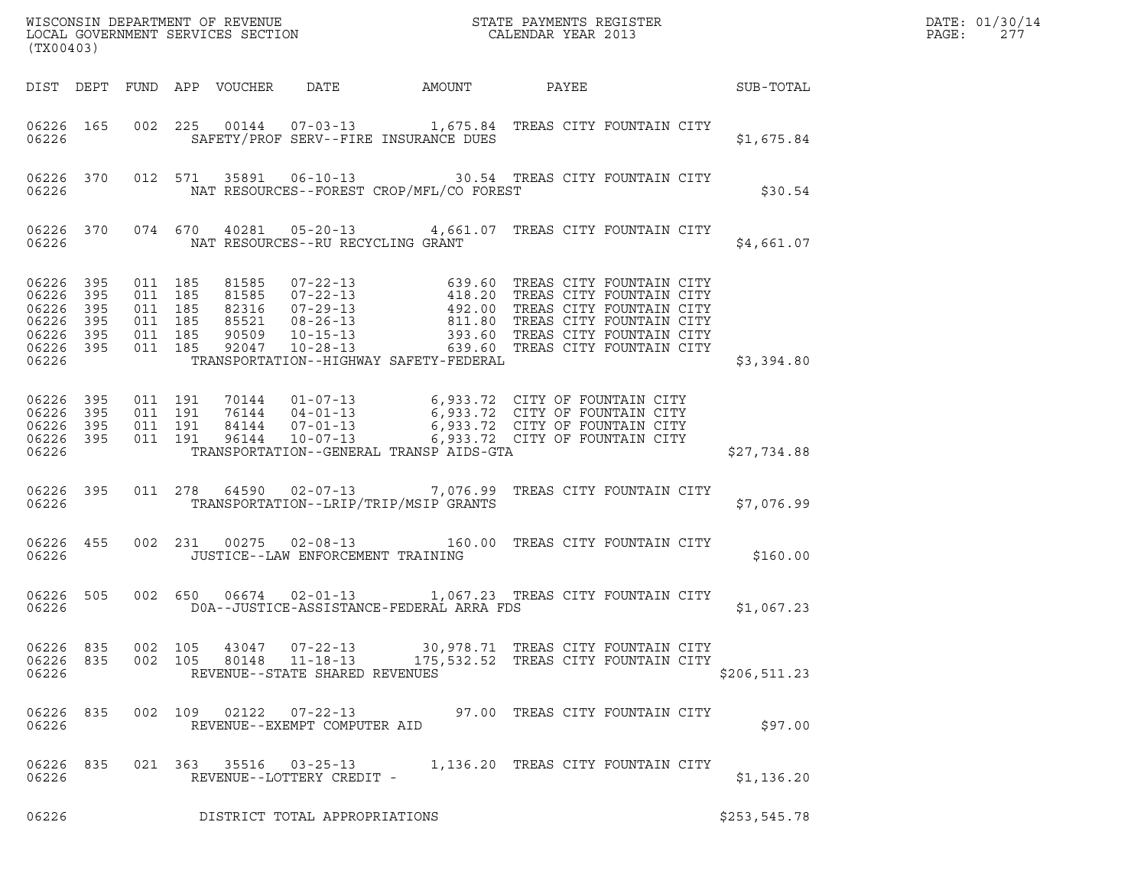| WISCONSIN DEPARTMENT OF REVENUE<br>LOCAL GOVERNMENT SERVICES SECTION<br>CALENDAR YEAR 2013<br>CALENDAR YEAR 2013<br>(TX00403) |  |                    |                                         |                                                              |                                                |                                                                                                                                                                                                                                                                                     |  |               |  |
|-------------------------------------------------------------------------------------------------------------------------------|--|--------------------|-----------------------------------------|--------------------------------------------------------------|------------------------------------------------|-------------------------------------------------------------------------------------------------------------------------------------------------------------------------------------------------------------------------------------------------------------------------------------|--|---------------|--|
|                                                                                                                               |  |                    |                                         |                                                              |                                                | DIST DEPT FUND APP VOUCHER DATE AMOUNT PAYEE SUB-TOTAL                                                                                                                                                                                                                              |  |               |  |
|                                                                                                                               |  | 06226              |                                         |                                                              | SAFETY/PROF SERV--FIRE INSURANCE DUES          | 06226 165 002 225 00144 07-03-13 1,675.84 TREAS CITY FOUNTAIN CITY                                                                                                                                                                                                                  |  | \$1,675.84    |  |
|                                                                                                                               |  |                    |                                         |                                                              | 06226 NAT RESOURCES--FOREST CROP/MFL/CO FOREST | 06226 370 012 571 35891 06-10-13 30.54 TREAS CITY FOUNTAIN CITY                                                                                                                                                                                                                     |  | \$30.54       |  |
|                                                                                                                               |  |                    | 06226 NAT RESOURCES--RU RECYCLING GRANT |                                                              |                                                | 06226 370 074 670 40281 05-20-13 4,661.07 TREAS CITY FOUNTAIN CITY                                                                                                                                                                                                                  |  | \$4,661.07    |  |
|                                                                                                                               |  |                    |                                         |                                                              |                                                | 06226 395 011 185 81585 07-22-13 639.60 TREAS CITY FOUNTAIN CITY<br>06226 395 011 185 81585 07-22-13 418.20 TREAS CITY FOUNTAIN CITY<br>06226 395 011 185 82316 07-29-13 492.00 TREAS CITY FOUNTAIN CITY<br>06226 395 011 185 85521<br>06226 TRANSPORTATION--HIGHWAY SAFETY-FEDERAL |  | \$3,394.80    |  |
|                                                                                                                               |  |                    |                                         |                                                              | 06226 TRANSPORTATION--GENERAL TRANSP AIDS-GTA  | 06226 395 011 191 70144 01-07-13 6,933.72 CITY OF FOUNTAIN CITY<br>06226 395 011 191 76144 04-01-13 6,933.72 CITY OF FOUNTAIN CITY<br>06226 395 011 191 84144 07-01-13 6,933.72 CITY OF FOUNTAIN CITY<br>06226 395 011 191 96144 10-07-                                             |  | \$27,734.88   |  |
|                                                                                                                               |  |                    |                                         |                                                              | 06226 TRANSPORTATION--LRIP/TRIP/MSIP GRANTS    | 06226 395 011 278 64590 02-07-13 7,076.99 TREAS CITY FOUNTAIN CITY                                                                                                                                                                                                                  |  | \$7,076.99    |  |
|                                                                                                                               |  | 06226 066226       |                                         |                                                              | JUSTICE--LAW ENFORCEMENT TRAINING              | 06226 455 002 231 00275 02-08-13 160.00 TREAS CITY FOUNTAIN CITY                                                                                                                                                                                                                    |  | \$160.00      |  |
| 06226                                                                                                                         |  |                    |                                         |                                                              | DOA--JUSTICE-ASSISTANCE-FEDERAL ARRA FDS       | 06226 505 002 650 06674 02-01-13 1,067.23 TREAS CITY FOUNTAIN CITY                                                                                                                                                                                                                  |  | \$1,067.23    |  |
| 06226 835<br>06226 835<br>06226                                                                                               |  | 002 105<br>002 105 | 43047<br>80148                          | 07-22-13<br>$11 - 18 - 13$<br>REVENUE--STATE SHARED REVENUES |                                                | 30,978.71 TREAS CITY FOUNTAIN CITY<br>175,532.52 TREAS CITY FOUNTAIN CITY                                                                                                                                                                                                           |  | \$206, 511.23 |  |
| 06226 835<br>06226                                                                                                            |  |                    |                                         | REVENUE--EXEMPT COMPUTER AID                                 |                                                | 002 109 02122 07-22-13 97.00 TREAS CITY FOUNTAIN CITY                                                                                                                                                                                                                               |  | \$97.00       |  |
| 06226 835<br>06226                                                                                                            |  |                    |                                         | REVENUE--LOTTERY CREDIT -                                    |                                                | 021 363 35516 03-25-13 1,136.20 TREAS CITY FOUNTAIN CITY                                                                                                                                                                                                                            |  | \$1,136.20    |  |
| 06226                                                                                                                         |  |                    |                                         | DISTRICT TOTAL APPROPRIATIONS                                |                                                |                                                                                                                                                                                                                                                                                     |  | \$253,545.78  |  |